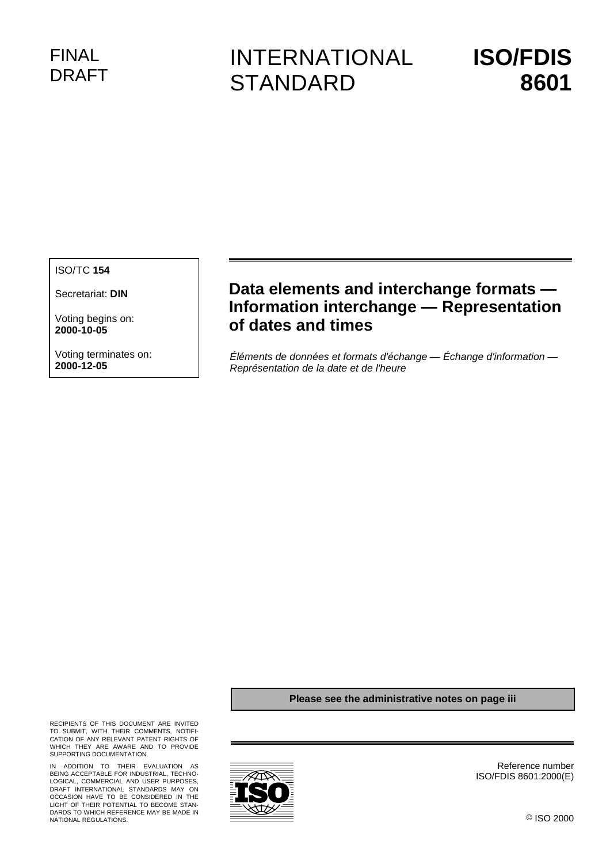# FINAL DRAFT

# INTERNATIONAL **STANDARD**

# **ISO/FDIS 8601**

ISO/TC **154**

Secretariat: **DIN**

Voting begins on: **2000-10-05**

Voting terminates on: **2000-12-05**

# **Data elements and interchange formats — Information interchange — Representation of dates and times**

Éléments de données et formats d'échange — Échange d'information — Représentation de la date et de l'heure

#### **Please see the administrative notes on page iii**

RECIPIENTS OF THIS DOCUMENT ARE INVITED TO SUBMIT, WITH THEIR COMMENTS, NOTIFI-CATION OF ANY RELEVANT PATENT RIGHTS OF WHICH THEY ARE AWARE AND TO PROVIDE SUPPORTING DOCUMENTATION.

IN ADDITION TO THEIR EVALUATION AS<br>BEING-ACCEPTABLE-FOR-INDUSTRIAL, TECHNO-<br>LOGICAL, COMMERCIAL AND USER-PURPOSES,<br>DRAFT INTERNATIONAL STANDARDS MAY ON OCCASION HAVE TO BE CONSIDERED IN THE LIGHT OF THEIR POTENTIAL TO BECOME STAN-DARDS TO WHICH REFERENCE MAY BE MADE IN NATIONAL REGULATIONS.



Reference number ISO/FDIS 8601:2000(E)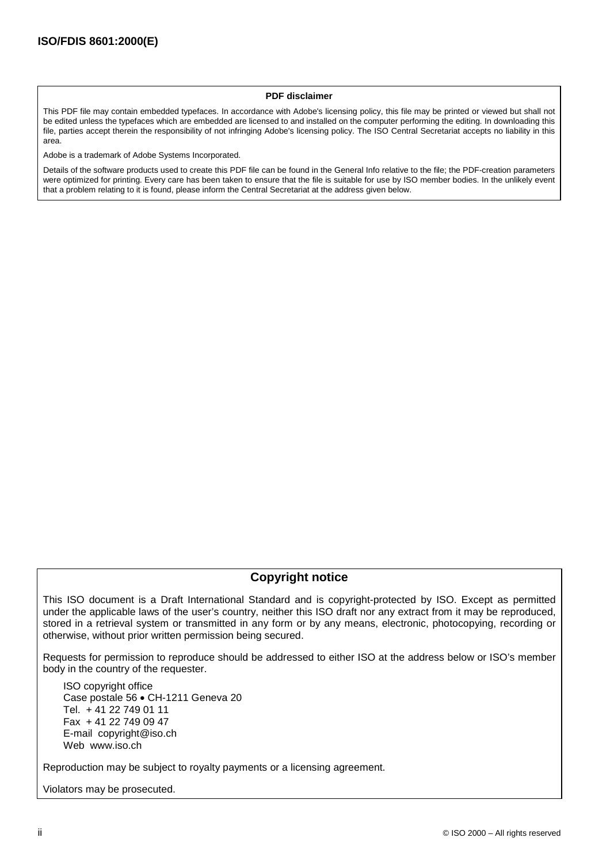#### **PDF disclaimer**

This PDF file may contain embedded typefaces. In accordance with Adobe's licensing policy, this file may be printed or viewed but shall not be edited unless the typefaces which are embedded are licensed to and installed on the computer performing the editing. In downloading this file, parties accept therein the responsibility of not infringing Adobe's licensing policy. The ISO Central Secretariat accepts no liability in this area.

Adobe is a trademark of Adobe Systems Incorporated.

Details of the software products used to create this PDF file can be found in the General Info relative to the file; the PDF-creation parameters were optimized for printing. Every care has been taken to ensure that the file is suitable for use by ISO member bodies. In the unlikely event that a problem relating to it is found, please inform the Central Secretariat at the address given below.

# **Copyright notice**

This ISO document is a Draft International Standard and is copyright-protected by ISO. Except as permitted under the applicable laws of the user's country, neither this ISO draft nor any extract from it may be reproduced, stored in a retrieval system or transmitted in any form or by any means, electronic, photocopying, recording or otherwise, without prior written permission being secured.

Requests for permission to reproduce should be addressed to either ISO at the address below or ISO's member body in the country of the requester.

ISO copyright office Case postale 56 · CH-1211 Geneva 20 Tel. + 41 22 749 01 11 Fax + 41 22 749 09 47 E-mail copyright@iso.ch Web www.iso.ch

Reproduction may be subject to royalty payments or a licensing agreement.

Violators may be prosecuted.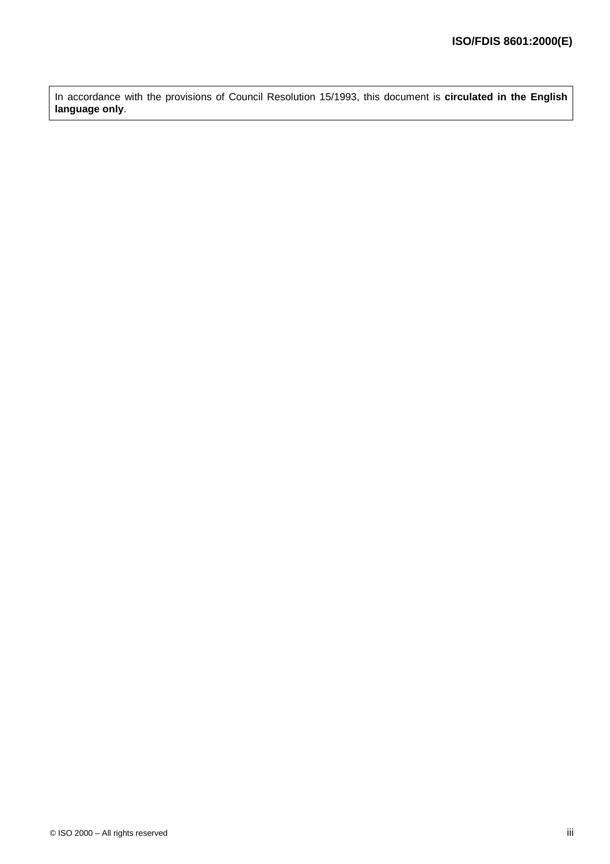In accordance with the provisions of Council Resolution 15/1993, this document is **circulated in the English language only**.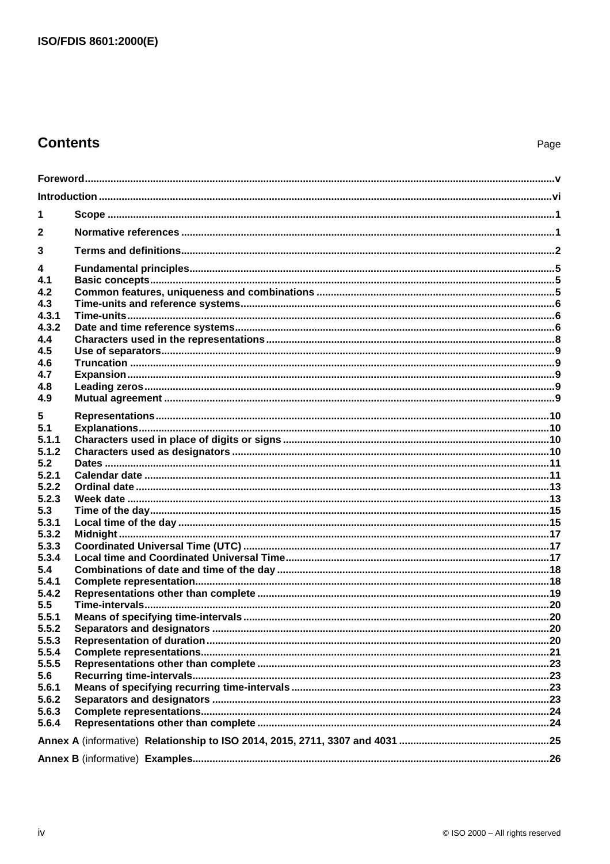# **Contents**

| 1            |  |  |
|--------------|--|--|
| $\mathbf{2}$ |  |  |
| 3            |  |  |
| 4            |  |  |
| 4.1          |  |  |
| 4.2<br>4.3   |  |  |
| 4.3.1        |  |  |
| 4.3.2        |  |  |
| 4.4          |  |  |
| 4.5          |  |  |
| 4.6          |  |  |
| 4.7          |  |  |
| 4.8          |  |  |
| 4.9          |  |  |
| 5            |  |  |
| 5.1          |  |  |
| 5.1.1        |  |  |
| 5.1.2        |  |  |
| 5.2          |  |  |
| 5.2.1        |  |  |
| 5.2.2        |  |  |
| 5.2.3        |  |  |
| 5.3          |  |  |
| 5.3.1        |  |  |
| 5.3.2        |  |  |
| 5.3.3        |  |  |
| 5.3.4<br>5.4 |  |  |
| 5.4.1        |  |  |
| 5.4.2        |  |  |
| 5.5          |  |  |
| 5.5.1        |  |  |
| 5.5.2        |  |  |
| 5.5.3        |  |  |
| 5.5.4        |  |  |
| 5.5.5        |  |  |
| 5.6          |  |  |
| 5.6.1        |  |  |
| 5.6.2        |  |  |
| 5.6.3        |  |  |
| 5.6.4        |  |  |
|              |  |  |
|              |  |  |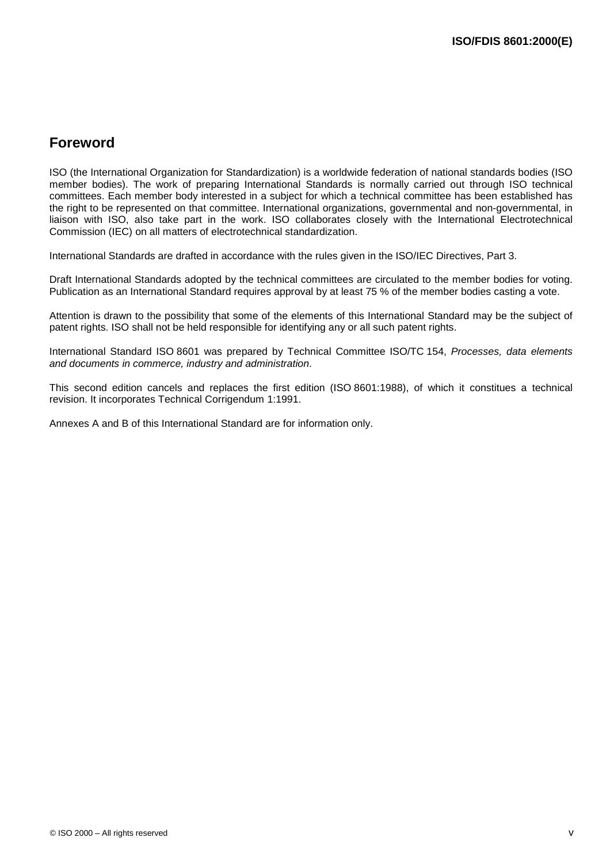# **Foreword**

ISO (the International Organization for Standardization) is a worldwide federation of national standards bodies (ISO member bodies). The work of preparing International Standards is normally carried out through ISO technical committees. Each member body interested in a subject for which a technical committee has been established has the right to be represented on that committee. International organizations, governmental and non-governmental, in liaison with ISO, also take part in the work. ISO collaborates closely with the International Electrotechnical Commission (IEC) on all matters of electrotechnical standardization.

International Standards are drafted in accordance with the rules given in the ISO/IEC Directives, Part 3.

Draft International Standards adopted by the technical committees are circulated to the member bodies for voting. Publication as an International Standard requires approval by at least 75 % of the member bodies casting a vote.

Attention is drawn to the possibility that some of the elements of this International Standard may be the subject of patent rights. ISO shall not be held responsible for identifying any or all such patent rights.

International Standard ISO 8601 was prepared by Technical Committee ISO/TC 154, Processes, data elements and documents in commerce, industry and administration.

This second edition cancels and replaces the first edition (ISO 8601:1988), of which it constitues a technical revision. It incorporates Technical Corrigendum 1:1991.

Annexes A and B of this International Standard are for information only.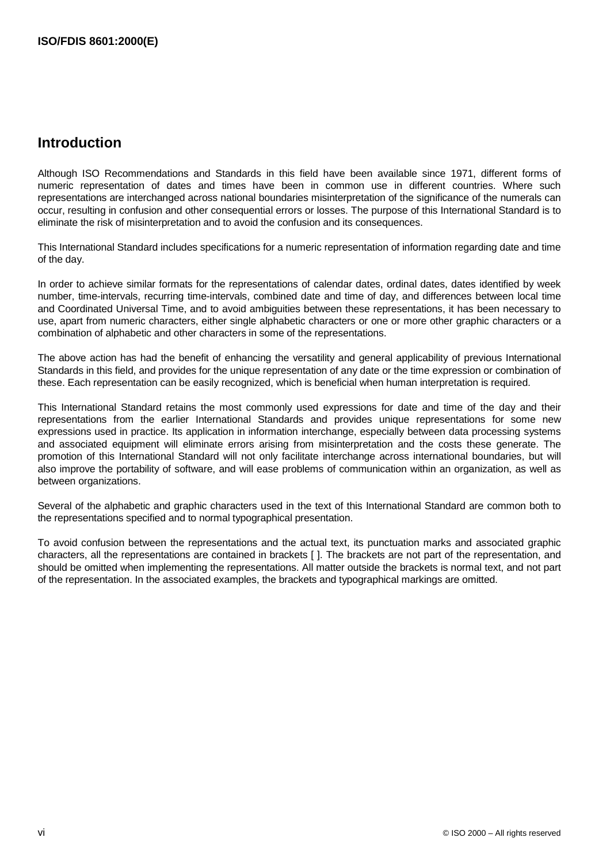# **Introduction**

Although ISO Recommendations and Standards in this field have been available since 1971, different forms of numeric representation of dates and times have been in common use in different countries. Where such representations are interchanged across national boundaries misinterpretation of the significance of the numerals can occur, resulting in confusion and other consequential errors or losses. The purpose of this International Standard is to eliminate the risk of misinterpretation and to avoid the confusion and its consequences.

This International Standard includes specifications for a numeric representation of information regarding date and time of the day.

In order to achieve similar formats for the representations of calendar dates, ordinal dates, dates identified by week number, time-intervals, recurring time-intervals, combined date and time of day, and differences between local time and Coordinated Universal Time, and to avoid ambiguities between these representations, it has been necessary to use, apart from numeric characters, either single alphabetic characters or one or more other graphic characters or a combination of alphabetic and other characters in some of the representations.

The above action has had the benefit of enhancing the versatility and general applicability of previous International Standards in this field, and provides for the unique representation of any date or the time expression or combination of these. Each representation can be easily recognized, which is beneficial when human interpretation is required.

This International Standard retains the most commonly used expressions for date and time of the day and their representations from the earlier International Standards and provides unique representations for some new expressions used in practice. Its application in information interchange, especially between data processing systems and associated equipment will eliminate errors arising from misinterpretation and the costs these generate. The promotion of this International Standard will not only facilitate interchange across international boundaries, but will also improve the portability of software, and will ease problems of communication within an organization, as well as between organizations.

Several of the alphabetic and graphic characters used in the text of this International Standard are common both to the representations specified and to normal typographical presentation.

To avoid confusion between the representations and the actual text, its punctuation marks and associated graphic characters, all the representations are contained in brackets [ ]. The brackets are not part of the representation, and should be omitted when implementing the representations. All matter outside the brackets is normal text, and not part of the representation. In the associated examples, the brackets and typographical markings are omitted.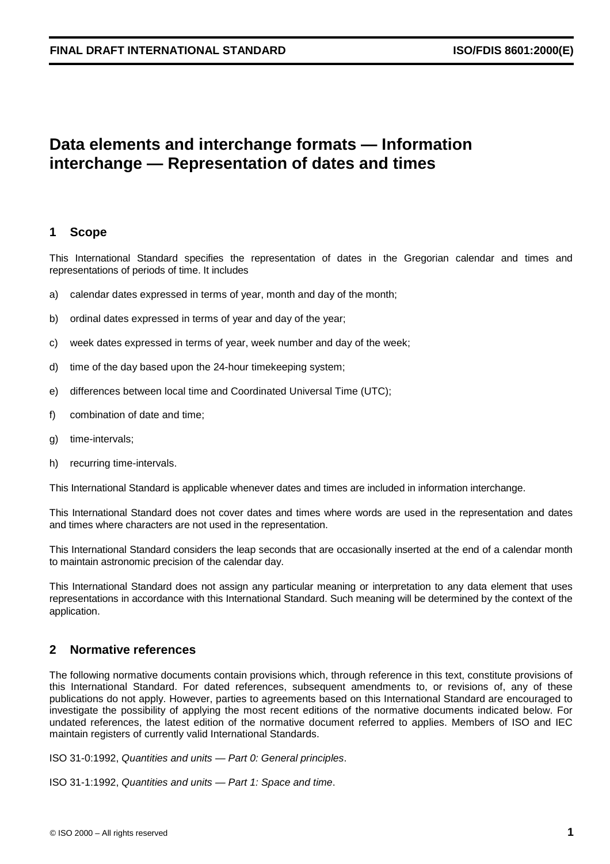# **Data elements and interchange formats — Information interchange — Representation of dates and times**

# **1 Scope**

This International Standard specifies the representation of dates in the Gregorian calendar and times and representations of periods of time. It includes

- a) calendar dates expressed in terms of year, month and day of the month;
- b) ordinal dates expressed in terms of year and day of the year;
- c) week dates expressed in terms of year, week number and day of the week;
- d) time of the day based upon the 24-hour timekeeping system;
- e) differences between local time and Coordinated Universal Time (UTC);
- f) combination of date and time;
- g) time-intervals;
- h) recurring time-intervals.

This International Standard is applicable whenever dates and times are included in information interchange.

This International Standard does not cover dates and times where words are used in the representation and dates and times where characters are not used in the representation.

This International Standard considers the leap seconds that are occasionally inserted at the end of a calendar month to maintain astronomic precision of the calendar day.

This International Standard does not assign any particular meaning or interpretation to any data element that uses representations in accordance with this International Standard. Such meaning will be determined by the context of the application.

# **2 Normative references**

The following normative documents contain provisions which, through reference in this text, constitute provisions of this International Standard. For dated references, subsequent amendments to, or revisions of, any of these publications do not apply. However, parties to agreements based on this International Standard are encouraged to investigate the possibility of applying the most recent editions of the normative documents indicated below. For undated references, the latest edition of the normative document referred to applies. Members of ISO and IEC maintain registers of currently valid International Standards.

ISO 31-0:1992, Quantities and units — Part 0: General principles.

ISO 31-1:1992, Quantities and units — Part 1: Space and time.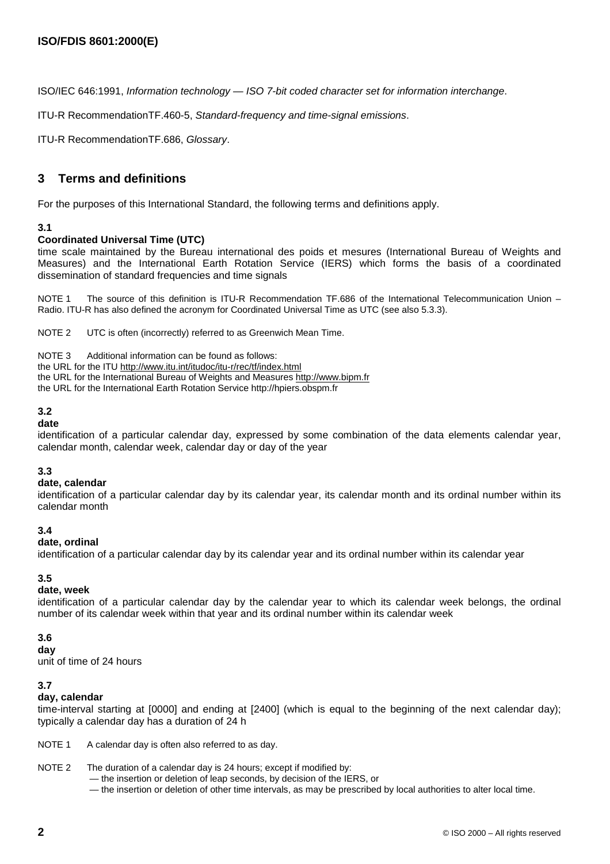ISO/IEC 646:1991, Information technology — ISO 7-bit coded character set for information interchange.

ITU-R RecommendationTF.460-5, Standard-frequency and time-signal emissions.

ITU-R RecommendationTF.686, Glossary.

# **3 Terms and definitions**

For the purposes of this International Standard, the following terms and definitions apply.

#### **3.1**

#### **Coordinated Universal Time (UTC)**

time scale maintained by the Bureau international des poids et mesures (International Bureau of Weights and Measures) and the International Earth Rotation Service (IERS) which forms the basis of a coordinated dissemination of standard frequencies and time signals

NOTE 1 The source of this definition is ITU-R Recommendation TF.686 of the International Telecommunication Union – Radio. ITU-R has also defined the acronym for Coordinated Universal Time as UTC (see also 5.3.3).

NOTE 2 UTC is often (incorrectly) referred to as Greenwich Mean Time.

NOTE 3 Additional information can be found as follows:

the URL for the ITU http://www.itu.int/itudoc/itu-r/rec/tf/index.html

the URL for the International Bureau of Weights and Measures http://www.bipm.fr

the URL for the International Earth Rotation Service http://hpiers.obspm.fr

#### **3.2**

**date**

identification of a particular calendar day, expressed by some combination of the data elements calendar year, calendar month, calendar week, calendar day or day of the year

#### **3.3**

#### **date, calendar**

identification of a particular calendar day by its calendar year, its calendar month and its ordinal number within its calendar month

#### **3.4**

#### **date, ordinal**

identification of a particular calendar day by its calendar year and its ordinal number within its calendar year

# **3.5**

# **date, week**

identification of a particular calendar day by the calendar year to which its calendar week belongs, the ordinal number of its calendar week within that year and its ordinal number within its calendar week

#### **3.6**

**day**

unit of time of 24 hours

#### **3.7**

#### **day, calendar**

time-interval starting at [0000] and ending at [2400] (which is equal to the beginning of the next calendar day); typically a calendar day has a duration of 24 h

NOTE 1 A calendar day is often also referred to as day.

#### NOTE 2 The duration of a calendar day is 24 hours; except if modified by:

— the insertion or deletion of leap seconds, by decision of the IERS, or

— the insertion or deletion of other time intervals, as may be prescribed by local authorities to alter local time.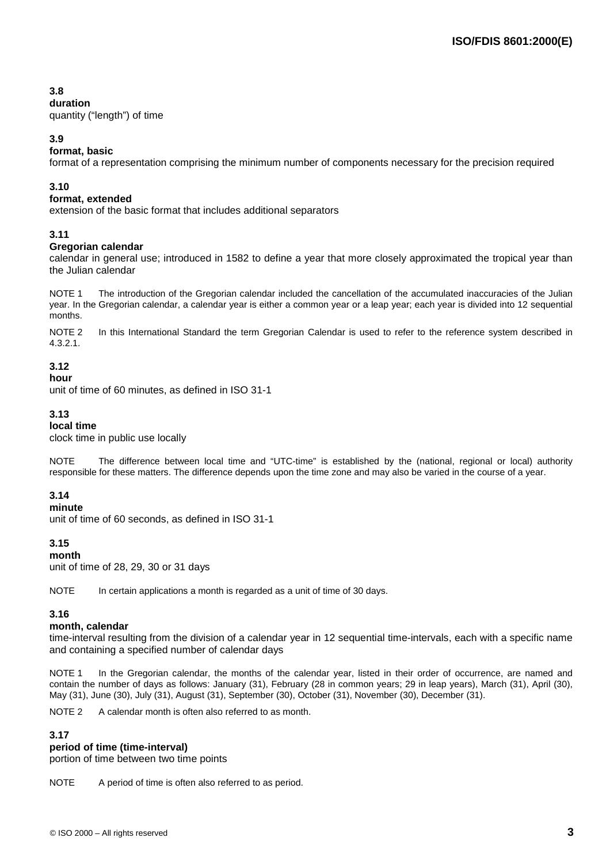# **3.8**

#### **duration**

quantity ("length") of time

### **3.9**

### **format, basic**

format of a representation comprising the minimum number of components necessary for the precision required

#### **3.10**

#### **format, extended**

extension of the basic format that includes additional separators

#### **3.11**

#### **Gregorian calendar**

calendar in general use; introduced in 1582 to define a year that more closely approximated the tropical year than the Julian calendar

NOTE 1 The introduction of the Gregorian calendar included the cancellation of the accumulated inaccuracies of the Julian year. In the Gregorian calendar, a calendar year is either a common year or a leap year; each year is divided into 12 sequential months.

NOTE 2 In this International Standard the term Gregorian Calendar is used to refer to the reference system described in 4.3.2.1.

### **3.12**

#### **hour**

unit of time of 60 minutes, as defined in ISO 31-1

#### **3.13**

#### **local time**

clock time in public use locally

NOTE The difference between local time and "UTC-time" is established by the (national, regional or local) authority responsible for these matters. The difference depends upon the time zone and may also be varied in the course of a year.

#### **3.14**

#### **minute**

unit of time of 60 seconds, as defined in ISO 31-1

#### **3.15**

**month** unit of time of 28, 29, 30 or 31 days

NOTE In certain applications a month is regarded as a unit of time of 30 days.

#### **3.16**

#### **month, calendar**

time-interval resulting from the division of a calendar year in 12 sequential time-intervals, each with a specific name and containing a specified number of calendar days

NOTE 1 In the Gregorian calendar, the months of the calendar year, listed in their order of occurrence, are named and contain the number of days as follows: January (31), February (28 in common years; 29 in leap years), March (31), April (30), May (31), June (30), July (31), August (31), September (30), October (31), November (30), December (31).

NOTE 2 A calendar month is often also referred to as month.

#### **3.17**

#### **period of time (time-interval)**

portion of time between two time points

NOTE A period of time is often also referred to as period.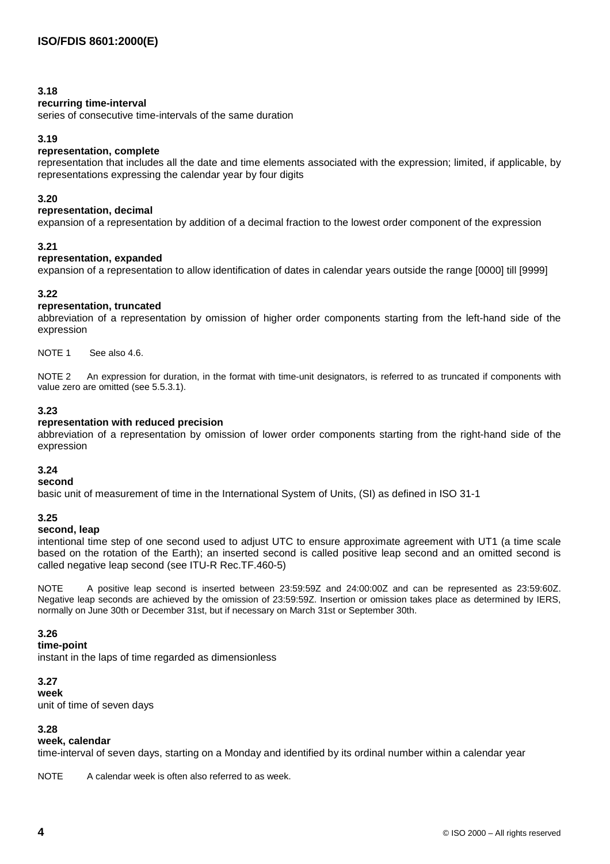#### **3.18**

#### **recurring time-interval**

series of consecutive time-intervals of the same duration

#### **3.19**

#### **representation, complete**

representation that includes all the date and time elements associated with the expression; limited, if applicable, by representations expressing the calendar year by four digits

#### **3.20**

#### **representation, decimal**

expansion of a representation by addition of a decimal fraction to the lowest order component of the expression

#### **3.21**

#### **representation, expanded**

expansion of a representation to allow identification of dates in calendar years outside the range [0000] till [9999]

#### **3.22**

#### **representation, truncated**

abbreviation of a representation by omission of higher order components starting from the left-hand side of the expression

NOTE 1 See also 4.6.

NOTE 2 An expression for duration, in the format with time-unit designators, is referred to as truncated if components with value zero are omitted (see 5.5.3.1).

#### **3.23**

#### **representation with reduced precision**

abbreviation of a representation by omission of lower order components starting from the right-hand side of the expression

## **3.24**

# **second**

basic unit of measurement of time in the International System of Units, (SI) as defined in ISO 31-1

#### **3.25**

#### **second, leap**

intentional time step of one second used to adjust UTC to ensure approximate agreement with UT1 (a time scale based on the rotation of the Earth); an inserted second is called positive leap second and an omitted second is called negative leap second (see ITU-R Rec.TF.460-5)

NOTE A positive leap second is inserted between 23:59:59Z and 24:00:00Z and can be represented as 23:59:60Z. Negative leap seconds are achieved by the omission of 23:59:59Z. Insertion or omission takes place as determined by IERS, normally on June 30th or December 31st, but if necessary on March 31st or September 30th.

#### **3.26**

#### **time-point**

instant in the laps of time regarded as dimensionless

#### **3.27**

#### **week**

unit of time of seven days

#### **3.28**

#### **week, calendar**

time-interval of seven days, starting on a Monday and identified by its ordinal number within a calendar year

NOTE A calendar week is often also referred to as week.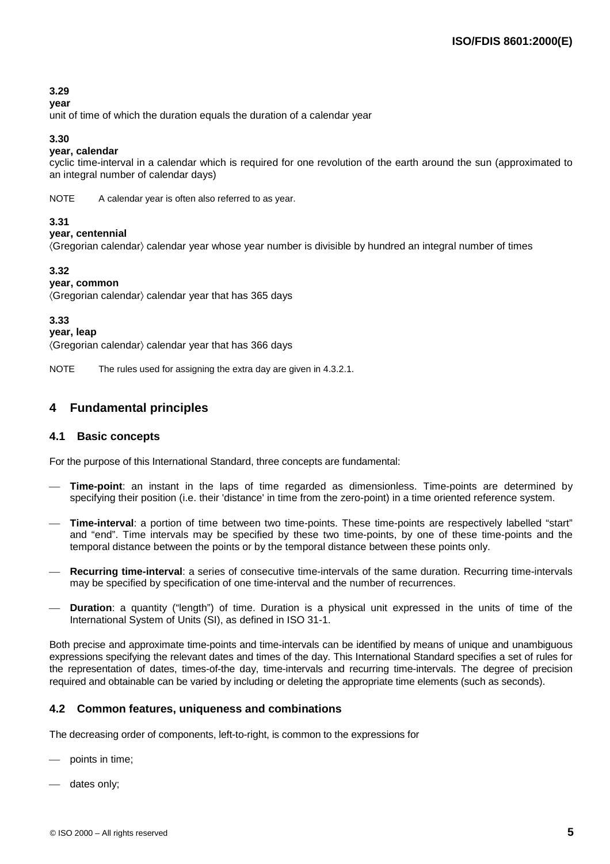# **3.29**

#### **year**

unit of time of which the duration equals the duration of a calendar year

#### **3.30**

## **year, calendar**

cyclic time-interval in a calendar which is required for one revolution of the earth around the sun (approximated to an integral number of calendar days)

NOTE A calendar year is often also referred to as year.

#### **3.31**

**year, centennial**

(Gregorian calendar) calendar year whose year number is divisible by hundred an integral number of times

### **3.32**

#### **year, common**

 $\langle$ Gregorian calendar $\rangle$  calendar year that has 365 days

#### **3.33**

#### **year, leap**

 $\langle$ Gregorian calendar $\rangle$  calendar year that has 366 days

NOTE The rules used for assigning the extra day are given in 4.3.2.1.

# **4 Fundamental principles**

#### **4.1 Basic concepts**

For the purpose of this International Standard, three concepts are fundamental:

- **Time-point**: an instant in the laps of time regarded as dimensionless. Time-points are determined by specifying their position (i.e. their 'distance' in time from the zero-point) in a time oriented reference system.
- **Time-interval**: a portion of time between two time-points. These time-points are respectively labelled "start" and "end". Time intervals may be specified by these two time-points, by one of these time-points and the temporal distance between the points or by the temporal distance between these points only.
- **Recurring time-interval**: a series of consecutive time-intervals of the same duration. Recurring time-intervals may be specified by specification of one time-interval and the number of recurrences.
- **Duration**: a quantity ("length") of time. Duration is a physical unit expressed in the units of time of the International System of Units (SI), as defined in ISO 31-1.

Both precise and approximate time-points and time-intervals can be identified by means of unique and unambiguous expressions specifying the relevant dates and times of the day. This International Standard specifies a set of rules for the representation of dates, times-of-the day, time-intervals and recurring time-intervals. The degree of precision required and obtainable can be varied by including or deleting the appropriate time elements (such as seconds).

# **4.2 Common features, uniqueness and combinations**

The decreasing order of components, left-to-right, is common to the expressions for

- points in time;
- dates only;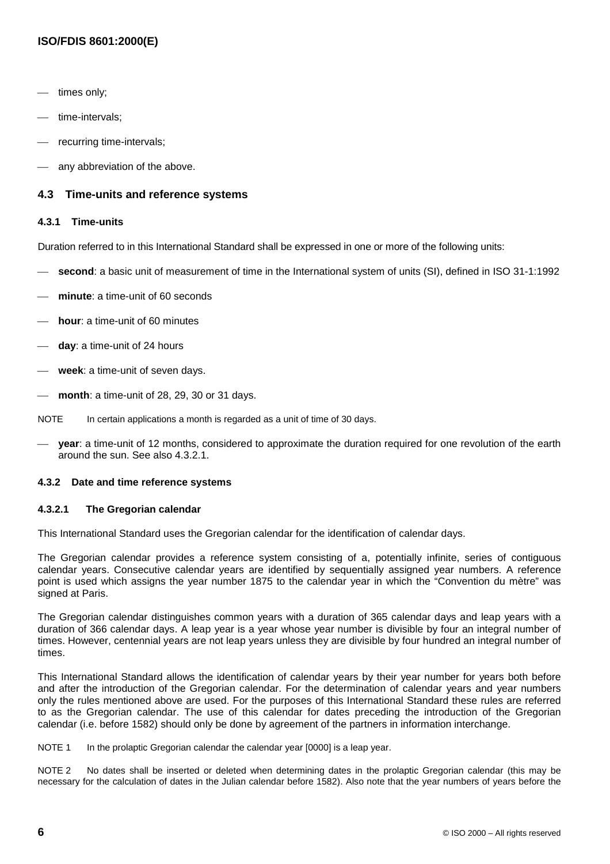# **ISO/FDIS 8601:2000(E)**

- times only;
- time-intervals;
- recurring time-intervals;
- any abbreviation of the above.

#### **4.3 Time-units and reference systems**

#### **4.3.1 Time-units**

Duration referred to in this International Standard shall be expressed in one or more of the following units:

- **second**: a basic unit of measurement of time in the International system of units (SI), defined in ISO 31-1:1992
- **minute**: a time-unit of 60 seconds
- **hour**: a time-unit of 60 minutes
- **day**: a time-unit of 24 hours
- **week**: a time-unit of seven days.
- **month**: a time-unit of 28, 29, 30 or 31 days.
- NOTE In certain applications a month is regarded as a unit of time of 30 days.
- **year**: a time-unit of 12 months, considered to approximate the duration required for one revolution of the earth around the sun. See also 4.3.2.1.

#### **4.3.2 Date and time reference systems**

#### **4.3.2.1 The Gregorian calendar**

This International Standard uses the Gregorian calendar for the identification of calendar days.

The Gregorian calendar provides a reference system consisting of a, potentially infinite, series of contiguous calendar years. Consecutive calendar years are identified by sequentially assigned year numbers. A reference point is used which assigns the year number 1875 to the calendar year in which the "Convention du mètre" was signed at Paris.

The Gregorian calendar distinguishes common years with a duration of 365 calendar days and leap years with a duration of 366 calendar days. A leap year is a year whose year number is divisible by four an integral number of times. However, centennial years are not leap years unless they are divisible by four hundred an integral number of times.

This International Standard allows the identification of calendar years by their year number for years both before and after the introduction of the Gregorian calendar. For the determination of calendar years and year numbers only the rules mentioned above are used. For the purposes of this International Standard these rules are referred to as the Gregorian calendar. The use of this calendar for dates preceding the introduction of the Gregorian calendar (i.e. before 1582) should only be done by agreement of the partners in information interchange.

NOTE 1 In the prolaptic Gregorian calendar the calendar year [0000] is a leap year.

NOTE 2 No dates shall be inserted or deleted when determining dates in the prolaptic Gregorian calendar (this may be necessary for the calculation of dates in the Julian calendar before 1582). Also note that the year numbers of years before the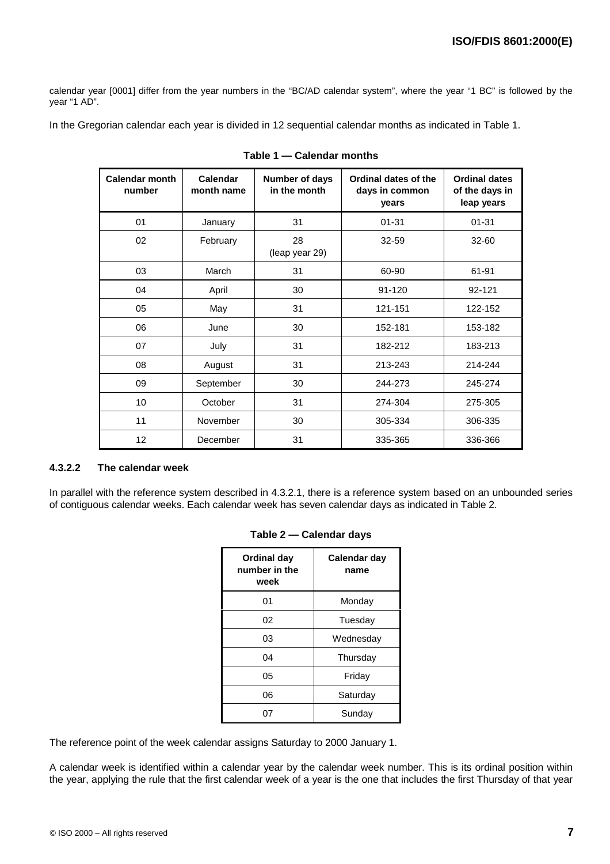calendar year [0001] differ from the year numbers in the "BC/AD calendar system", where the year "1 BC" is followed by the year "1 AD".

In the Gregorian calendar each year is divided in 12 sequential calendar months as indicated in Table 1.

| <b>Calendar month</b><br>number | <b>Calendar</b><br>month name | Number of days<br>in the month | Ordinal dates of the<br>days in common<br>years | <b>Ordinal dates</b><br>of the days in<br>leap years |
|---------------------------------|-------------------------------|--------------------------------|-------------------------------------------------|------------------------------------------------------|
| 01                              | January                       | 31                             | $01 - 31$                                       | $01 - 31$                                            |
| 02                              | February                      | 28<br>(leap year 29)           | 32-59                                           | $32 - 60$                                            |
| 03                              | March                         | 31                             | 60-90                                           | 61-91                                                |
| 04                              | April                         | 30                             | $91 - 120$                                      | 92-121                                               |
| 05                              | May                           | 31                             | 121-151                                         | 122-152                                              |
| 06                              | June                          | 30                             | 152-181                                         | 153-182                                              |
| 07                              | July                          | 31                             | 182-212                                         | 183-213                                              |
| 08                              | August                        | 31                             | 213-243                                         | 214-244                                              |
| 09                              | September                     | 30                             | 244-273                                         | 245-274                                              |
| 10                              | October                       | 31                             | 274-304                                         | 275-305                                              |
| 11                              | November                      | 30                             | 305-334                                         | 306-335                                              |
| 12                              | December                      | 31                             | 335-365                                         | 336-366                                              |

### **4.3.2.2 The calendar week**

In parallel with the reference system described in 4.3.2.1, there is a reference system based on an unbounded series of contiguous calendar weeks. Each calendar week has seven calendar days as indicated in Table 2.

| Ordinal day<br>number in the<br>week | Calendar day<br>name |
|--------------------------------------|----------------------|
| 01                                   | Monday               |
| 02                                   | Tuesday              |
| 03                                   | Wednesday            |
| 04                                   | Thursday             |
| 05                                   | Friday               |
| 06                                   | Saturday             |
| 07                                   | Sunday               |

#### **Table 2 — Calendar days**

The reference point of the week calendar assigns Saturday to 2000 January 1.

A calendar week is identified within a calendar year by the calendar week number. This is its ordinal position within the year, applying the rule that the first calendar week of a year is the one that includes the first Thursday of that year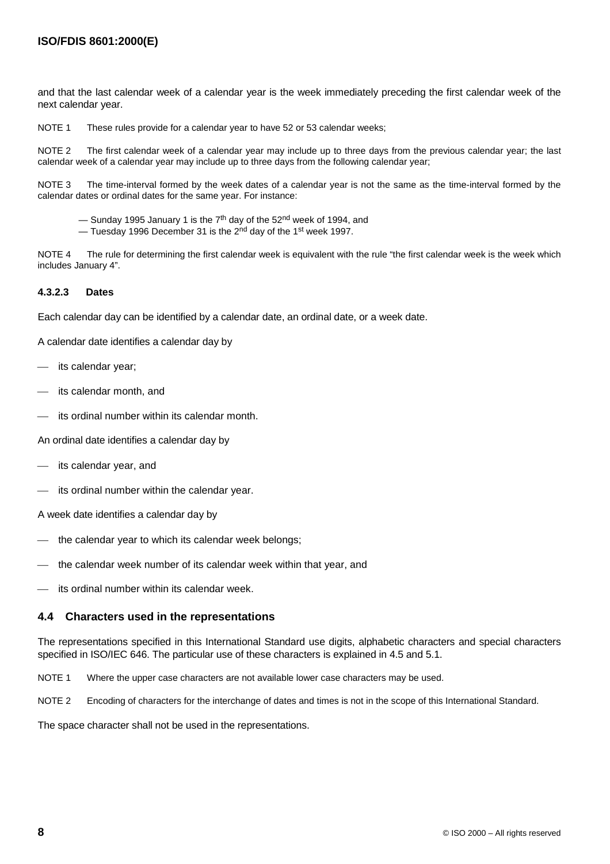and that the last calendar week of a calendar year is the week immediately preceding the first calendar week of the next calendar year.

NOTE 1 These rules provide for a calendar year to have 52 or 53 calendar weeks;

NOTE 2 The first calendar week of a calendar year may include up to three days from the previous calendar year; the last calendar week of a calendar year may include up to three days from the following calendar year;

NOTE 3 The time-interval formed by the week dates of a calendar year is not the same as the time-interval formed by the calendar dates or ordinal dates for the same year. For instance:

- $-$  Sunday 1995 January 1 is the 7<sup>th</sup> day of the 52<sup>nd</sup> week of 1994, and
- Tuesday 1996 December 31 is the 2<sup>nd</sup> day of the 1<sup>st</sup> week 1997.

NOTE 4 The rule for determining the first calendar week is equivalent with the rule "the first calendar week is the week which includes January 4".

#### **4.3.2.3 Dates**

Each calendar day can be identified by a calendar date, an ordinal date, or a week date.

A calendar date identifies a calendar day by

- its calendar year;
- its calendar month, and
- its ordinal number within its calendar month.

An ordinal date identifies a calendar day by

- its calendar year, and
- its ordinal number within the calendar year.

A week date identifies a calendar day by

- the calendar year to which its calendar week belongs;
- the calendar week number of its calendar week within that year, and
- its ordinal number within its calendar week.

#### **4.4 Characters used in the representations**

The representations specified in this International Standard use digits, alphabetic characters and special characters specified in ISO/IEC 646. The particular use of these characters is explained in 4.5 and 5.1.

NOTE 1 Where the upper case characters are not available lower case characters may be used.

NOTE 2 Encoding of characters for the interchange of dates and times is not in the scope of this International Standard.

The space character shall not be used in the representations.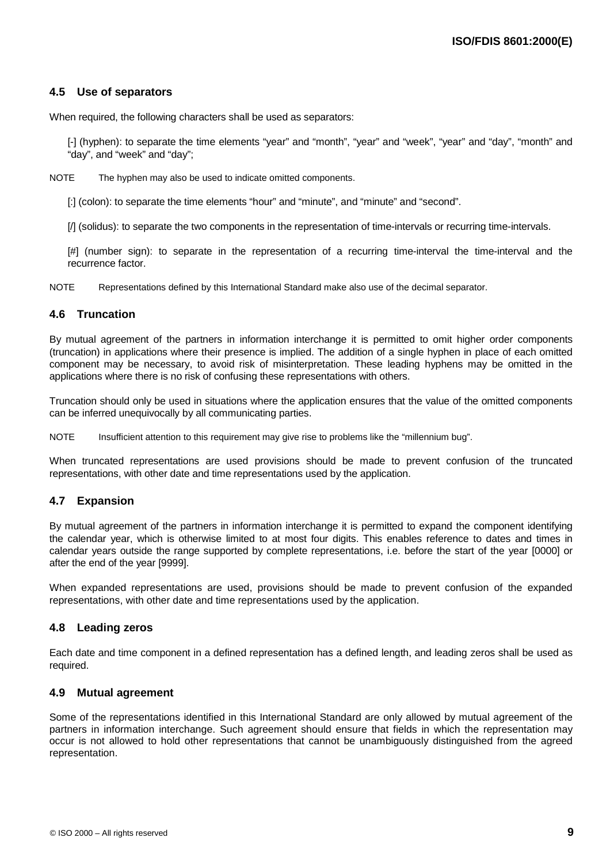# **4.5 Use of separators**

When required, the following characters shall be used as separators:

[-] (hyphen): to separate the time elements "year" and "month", "year" and "week", "year" and "day", "month" and "day", and "week" and "day";

NOTE The hyphen may also be used to indicate omitted components.

[:] (colon): to separate the time elements "hour" and "minute", and "minute" and "second".

[/] (solidus): to separate the two components in the representation of time-intervals or recurring time-intervals.

[#] (number sign): to separate in the representation of a recurring time-interval the time-interval and the recurrence factor.

NOTE Representations defined by this International Standard make also use of the decimal separator.

#### **4.6 Truncation**

By mutual agreement of the partners in information interchange it is permitted to omit higher order components (truncation) in applications where their presence is implied. The addition of a single hyphen in place of each omitted component may be necessary, to avoid risk of misinterpretation. These leading hyphens may be omitted in the applications where there is no risk of confusing these representations with others.

Truncation should only be used in situations where the application ensures that the value of the omitted components can be inferred unequivocally by all communicating parties.

NOTE Insufficient attention to this requirement may give rise to problems like the "millennium bug".

When truncated representations are used provisions should be made to prevent confusion of the truncated representations, with other date and time representations used by the application.

#### **4.7 Expansion**

By mutual agreement of the partners in information interchange it is permitted to expand the component identifying the calendar year, which is otherwise limited to at most four digits. This enables reference to dates and times in calendar years outside the range supported by complete representations, i.e. before the start of the year [0000] or after the end of the year [9999].

When expanded representations are used, provisions should be made to prevent confusion of the expanded representations, with other date and time representations used by the application.

#### **4.8 Leading zeros**

Each date and time component in a defined representation has a defined length, and leading zeros shall be used as required.

#### **4.9 Mutual agreement**

Some of the representations identified in this International Standard are only allowed by mutual agreement of the partners in information interchange. Such agreement should ensure that fields in which the representation may occur is not allowed to hold other representations that cannot be unambiguously distinguished from the agreed representation.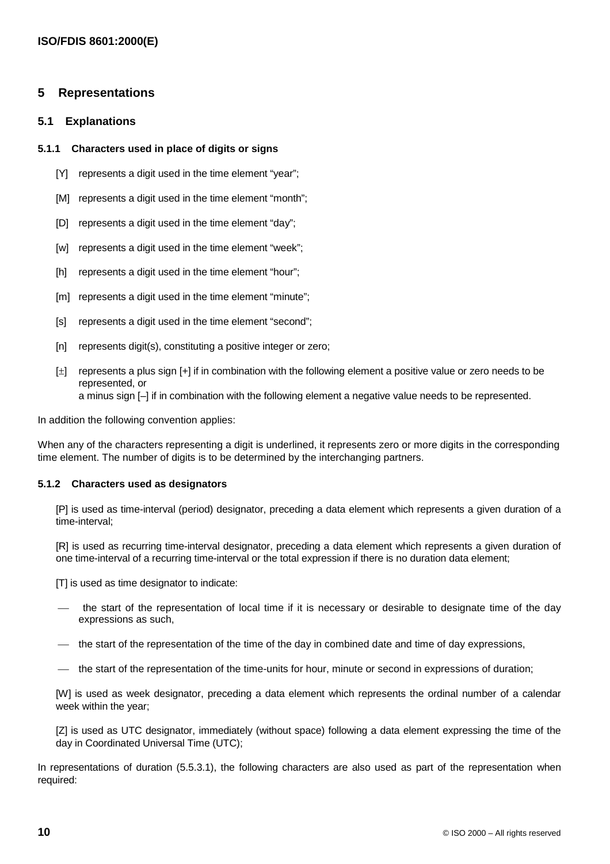## **5 Representations**

#### **5.1 Explanations**

#### **5.1.1 Characters used in place of digits or signs**

- [Y] represents a digit used in the time element "year";
- [M] represents a digit used in the time element "month";
- [D] represents a digit used in the time element "day";
- [w] represents a digit used in the time element "week";
- [h] represents a digit used in the time element "hour";
- [m] represents a digit used in the time element "minute";
- [s] represents a digit used in the time element "second";
- [n] represents digit(s), constituting a positive integer or zero;
- [ $\pm$ ] represents a plus sign [+] if in combination with the following element a positive value or zero needs to be represented, or a minus sign [–] if in combination with the following element a negative value needs to be represented.

In addition the following convention applies:

When any of the characters representing a digit is underlined, it represents zero or more digits in the corresponding time element. The number of digits is to be determined by the interchanging partners.

#### **5.1.2 Characters used as designators**

[P] is used as time-interval (period) designator, preceding a data element which represents a given duration of a time-interval;

[R] is used as recurring time-interval designator, preceding a data element which represents a given duration of one time-interval of a recurring time-interval or the total expression if there is no duration data element;

[T] is used as time designator to indicate:

- the start of the representation of local time if it is necessary or desirable to designate time of the day expressions as such,
- the start of the representation of the time of the day in combined date and time of day expressions,
- the start of the representation of the time-units for hour, minute or second in expressions of duration;

[W] is used as week designator, preceding a data element which represents the ordinal number of a calendar week within the year;

[Z] is used as UTC designator, immediately (without space) following a data element expressing the time of the day in Coordinated Universal Time (UTC);

In representations of duration (5.5.3.1), the following characters are also used as part of the representation when required: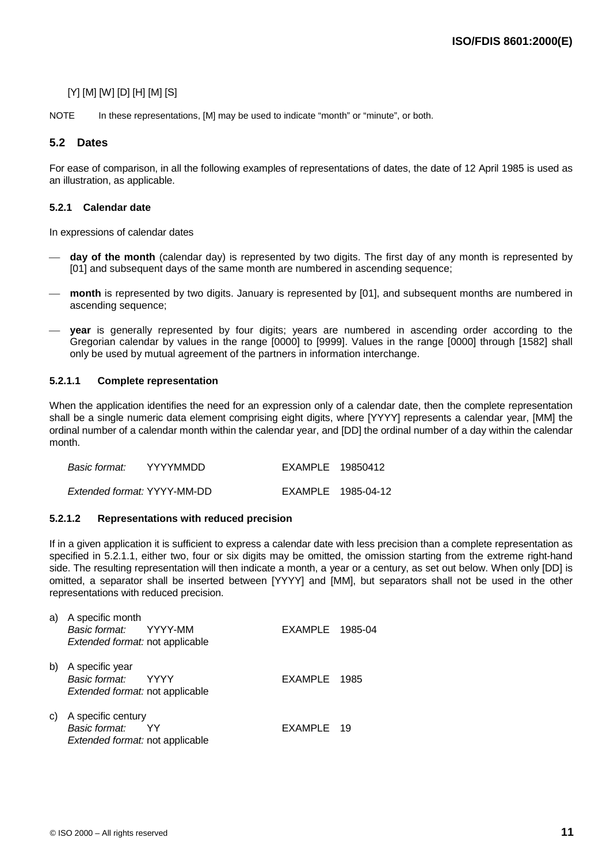# [Y] [M] [W] [D] [H] [M] [S]

NOTE In these representations, [M] may be used to indicate "month" or "minute", or both.

# **5.2 Dates**

For ease of comparison, in all the following examples of representations of dates, the date of 12 April 1985 is used as an illustration, as applicable.

#### **5.2.1 Calendar date**

In expressions of calendar dates

- **day of the month** (calendar day) is represented by two digits. The first day of any month is represented by [01] and subsequent days of the same month are numbered in ascending sequence;
- **month** is represented by two digits. January is represented by [01], and subsequent months are numbered in ascending sequence;
- **year** is generally represented by four digits; years are numbered in ascending order according to the Gregorian calendar by values in the range [0000] to [9999]. Values in the range [0000] through [1582] shall only be used by mutual agreement of the partners in information interchange.

#### **5.2.1.1 Complete representation**

When the application identifies the need for an expression only of a calendar date, then the complete representation shall be a single numeric data element comprising eight digits, where [YYYY] represents a calendar year, [MM] the ordinal number of a calendar month within the calendar year, and [DD] the ordinal number of a day within the calendar month.

| Basic format: | YYYYMMDD                    | EXAMPLE 19850412 |                    |
|---------------|-----------------------------|------------------|--------------------|
|               | Extended format: YYYY-MM-DD |                  | EXAMPLE 1985-04-12 |

#### **5.2.1.2 Representations with reduced precision**

If in a given application it is sufficient to express a calendar date with less precision than a complete representation as specified in 5.2.1.1, either two, four or six digits may be omitted, the omission starting from the extreme right-hand side. The resulting representation will then indicate a month, a year or a century, as set out below. When only [DD] is omitted, a separator shall be inserted between [YYYY] and [MM], but separators shall not be used in the other representations with reduced precision.

| a) | A specific month<br>Basic format: YYYY-MM<br>Extended format: not applicable        | EXAMPLE 1985-04 |     |
|----|-------------------------------------------------------------------------------------|-----------------|-----|
| b) | A specific year<br>Basic format: YYYY<br>Extended format: not applicable            | EXAMPLE 1985    |     |
| C) | A specific century<br>Basic format:<br>YY<br><i>Extended format:</i> not applicable | EXAMPLE         | -19 |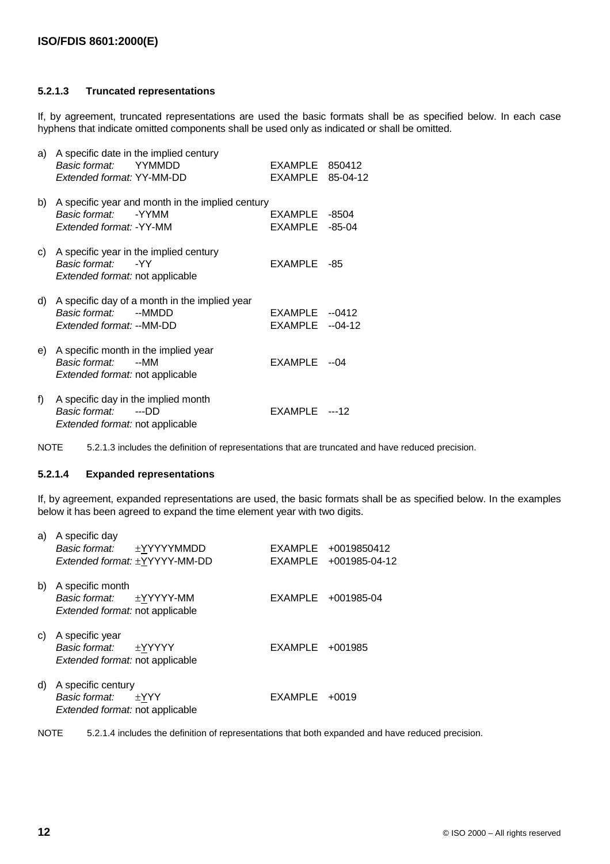#### **5.2.1.3 Truncated representations**

If, by agreement, truncated representations are used the basic formats shall be as specified below. In each case hyphens that indicate omitted components shall be used only as indicated or shall be omitted.

| a) | A specific date in the implied century<br>Basic format:<br>YYMMDD<br>Extended format: YY-MM-DD          | EXAMPLE<br>EXAMPLE        | 850412<br>85-04-12  |
|----|---------------------------------------------------------------------------------------------------------|---------------------------|---------------------|
| b) | A specific year and month in the implied century<br>Basic format:<br>-YYMM<br>Extended format: -YY-MM   | EXAMPLE<br><b>EXAMPLE</b> | -8504<br>$-85-04$   |
| C) | A specific year in the implied century<br>Basic format:<br>-YY<br>Extended format: not applicable       | <b>EXAMPLE</b>            | -85                 |
| d) | A specific day of a month in the implied year<br>Basic format:<br>--MMDD<br>Extended format: --MM-DD    | EXAMPLE<br>EXAMPLE        | $-0412$<br>$-04-12$ |
| e) | A specific month in the implied year<br>Basic format:<br>--MM<br><i>Extended format:</i> not applicable | EXAMPLE                   | --04                |
| f) | A specific day in the implied month<br>Basic format:<br>---DD<br><i>Extended format:</i> not applicable | EXAMPLE                   | ---12               |

NOTE 5.2.1.3 includes the definition of representations that are truncated and have reduced precision.

#### **5.2.1.4 Expanded representations**

If, by agreement, expanded representations are used, the basic formats shall be as specified below. In the examples below it has been agreed to expand the time element year with two digits.

| a) | A specific day<br>Basic format: ±YYYYYMMDD<br>Extended format: ±YYYYY-MM-DD         |                   | EXAMPLE +0019850412<br>EXAMPLE +001985-04-12 |
|----|-------------------------------------------------------------------------------------|-------------------|----------------------------------------------|
| b) | A specific month<br>Basic format: ±YYYYY-MM<br>Extended format: not applicable      |                   | EXAMPLE +001985-04                           |
| C) | A specific year<br>Basic format:<br>±YYYYY<br>Extended format: not applicable       | $EXAMPLE +001985$ |                                              |
| d) | A specific century<br>Basic format:<br>$\pm$ YYY<br>Extended format: not applicable | EXAMPLE           | $+0019$                                      |

NOTE 5.2.1.4 includes the definition of representations that both expanded and have reduced precision.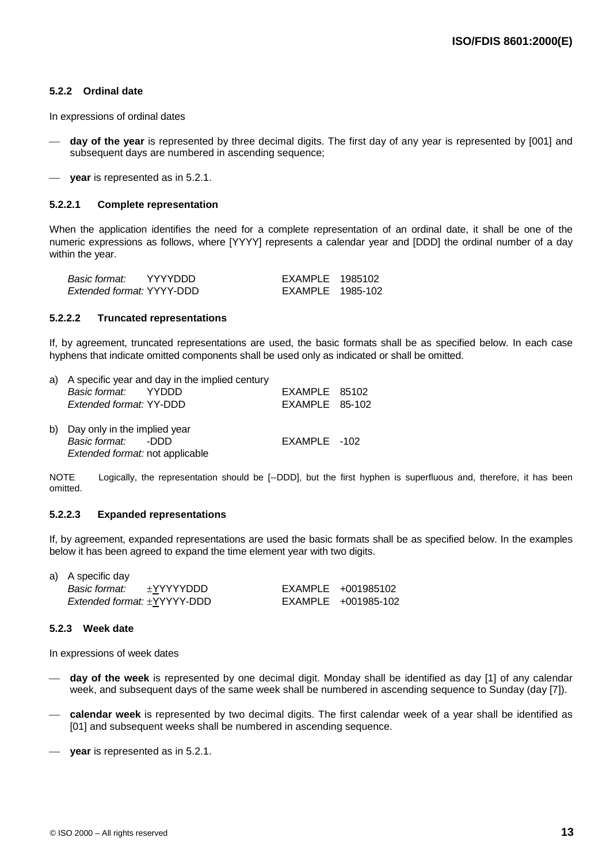#### **5.2.2 Ordinal date**

In expressions of ordinal dates

- **day of the year** is represented by three decimal digits. The first day of any year is represented by [001] and subsequent days are numbered in ascending sequence:
- **year** is represented as in 5.2.1.

#### **5.2.2.1 Complete representation**

When the application identifies the need for a complete representation of an ordinal date, it shall be one of the numeric expressions as follows, where [YYYY] represents a calendar year and [DDD] the ordinal number of a day within the year.

| Basic format:             | YYYYDDD | EXAMPLE 1985102  |  |
|---------------------------|---------|------------------|--|
| Extended format: YYYY-DDD |         | EXAMPLE 1985-102 |  |

#### **5.2.2.2 Truncated representations**

If, by agreement, truncated representations are used, the basic formats shall be as specified below. In each case hyphens that indicate omitted components shall be used only as indicated or shall be omitted.

| a) A specific year and day in the implied century      |                  |  |
|--------------------------------------------------------|------------------|--|
| Basic format: YYDDD                                    | EXAMPLE 85102    |  |
| Extended format: YY-DDD                                | $EXAMPLE$ 85-102 |  |
| b) Day only in the implied year<br>Basic format: - DDD | EXAMPLE -102     |  |
| Extended format: not applicable                        |                  |  |

NOTE Logically, the representation should be [--DDD], but the first hyphen is superfluous and, therefore, it has been omitted.

#### **5.2.2.3 Expanded representations**

If, by agreement, expanded representations are used the basic formats shall be as specified below. In the examples below it has been agreed to expand the time element year with two digits.

| a) A specific day           |           |                     |
|-----------------------------|-----------|---------------------|
| Basic format:               | ±YYYYYDDD | EXAMPLE +001985102  |
| Extended format: ±YYYYY-DDD |           | EXAMPLE +001985-102 |

#### **5.2.3 Week date**

In expressions of week dates

- **day of the week** is represented by one decimal digit. Monday shall be identified as day [1] of any calendar week, and subsequent days of the same week shall be numbered in ascending sequence to Sunday (day [7]).
- **calendar week** is represented by two decimal digits. The first calendar week of a year shall be identified as [01] and subsequent weeks shall be numbered in ascending sequence.
- **year** is represented as in 5.2.1.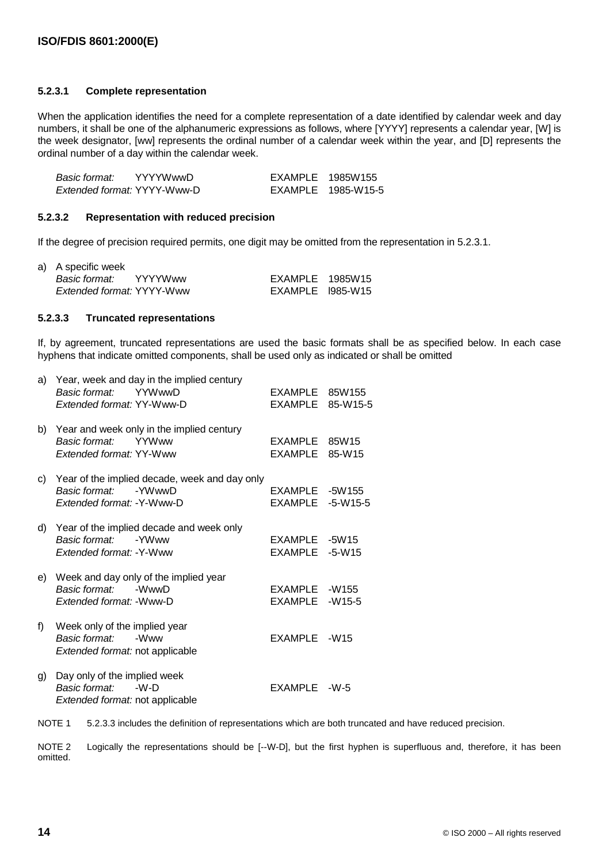#### **5.2.3.1 Complete representation**

When the application identifies the need for a complete representation of a date identified by calendar week and day numbers, it shall be one of the alphanumeric expressions as follows, where [YYYY] represents a calendar year, [W] is the week designator, [ww] represents the ordinal number of a calendar week within the year, and [D] represents the ordinal number of a day within the calendar week.

| Basic format:               | <b>YYYYWwwD</b> | EXAMPLE 1985W155 |                    |
|-----------------------------|-----------------|------------------|--------------------|
| Extended format: YYYY-Www-D |                 |                  | EXAMPLE 1985-W15-5 |

#### **5.2.3.2 Representation with reduced precision**

If the degree of precision required permits, one digit may be omitted from the representation in 5.2.3.1.

| a) A specific week           |                  |  |
|------------------------------|------------------|--|
| <i>Basic format:</i> YYYYWww | EXAMPLE 1985W15  |  |
| Extended format: YYYY-Www    | EXAMPLE 1985-W15 |  |

#### **5.2.3.3 Truncated representations**

If, by agreement, truncated representations are used the basic formats shall be as specified below. In each case hyphens that indicate omitted components, shall be used only as indicated or shall be omitted

| a) | Year, week and day in the implied century<br>Basic format:<br>YYWwwD<br>Extended format: YY-Www-D     | EXAMPLE<br><b>EXAMPLE</b> | 85W155<br>85-W15-5     |
|----|-------------------------------------------------------------------------------------------------------|---------------------------|------------------------|
| b) | Year and week only in the implied century<br>Basic format:<br><b>YYWww</b><br>Extended format: YY-Www | EXAMPLE<br><b>EXAMPLE</b> | 85W15<br>85-W15        |
| C) | Year of the implied decade, week and day only<br>Basic format:<br>-YWwwD<br>Extended format: -Y-Www-D | EXAMPLE<br>EXAMPLE        | $-5W155$<br>$-5-W15-5$ |
| d) | Year of the implied decade and week only<br>Basic format:<br>-YWww<br>Extended format: -Y-Www         | EXAMPLE<br>EXAMPLE        | $-5W15$<br>$-5 - W15$  |
| e) | Week and day only of the implied year<br>Basic format:<br>-WwwD<br>Extended format: - Www-D           | EXAMPLE<br><b>EXAMPLE</b> | -W155<br>$-W15-5$      |
| f) | Week only of the implied year<br><b>Basic format:</b><br>-Www<br>Extended format: not applicable      | <b>EXAMPLE</b>            | $-W15$                 |
| g) | Day only of the implied week<br>Basic format:<br>-W-D<br>Extended format: not applicable              | <b>EXAMPLE</b>            | $-W-5$                 |

NOTE 1 5.2.3.3 includes the definition of representations which are both truncated and have reduced precision.

NOTE 2 Logically the representations should be [--W-D], but the first hyphen is superfluous and, therefore, it has been omitted.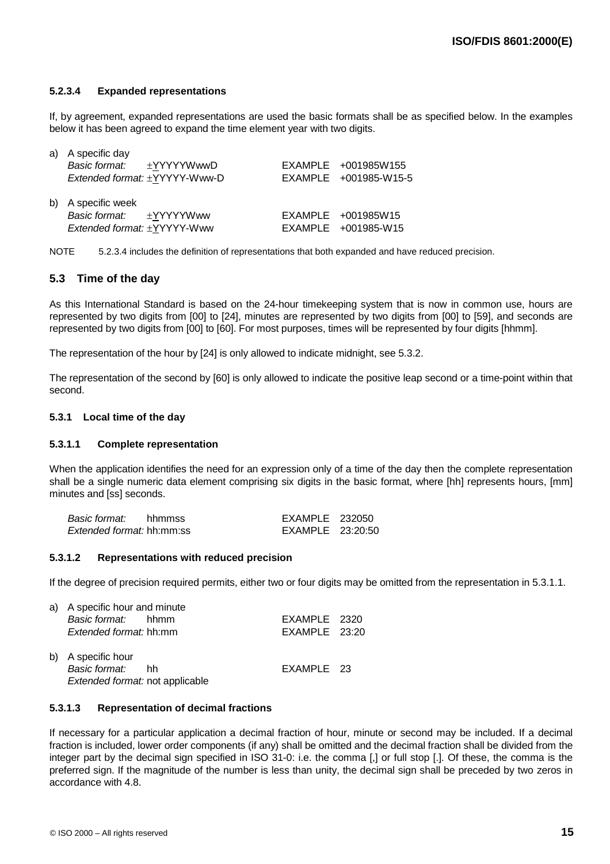#### **5.2.3.4 Expanded representations**

If, by agreement, expanded representations are used the basic formats shall be as specified below. In the examples below it has been agreed to expand the time element year with two digits.

| a) A specific day             |                       |
|-------------------------------|-----------------------|
| Basic format: ±YYYYYWwwD      | EXAMPLE +001985W155   |
| Extended format: ±YYYYY-Www-D | EXAMPLE +001985-W15-5 |
| b) A specific week            |                       |
| Basic format: ±YYYYYWww       | EXAMPLE +001985W15    |
| Extended format: ±YYYYY-Www   | EXAMPLE +001985-W15   |

NOTE 5.2.3.4 includes the definition of representations that both expanded and have reduced precision.

### **5.3 Time of the day**

As this International Standard is based on the 24-hour timekeeping system that is now in common use, hours are represented by two digits from [00] to [24], minutes are represented by two digits from [00] to [59], and seconds are represented by two digits from [00] to [60]. For most purposes, times will be represented by four digits [hhmm].

The representation of the hour by [24] is only allowed to indicate midnight, see 5.3.2.

The representation of the second by [60] is only allowed to indicate the positive leap second or a time-point within that second.

#### **5.3.1 Local time of the day**

#### **5.3.1.1 Complete representation**

When the application identifies the need for an expression only of a time of the day then the complete representation shall be a single numeric data element comprising six digits in the basic format, where [hh] represents hours, [mm] minutes and [ss] seconds.

| Basic format:                    | hhmmss | EXAMPLE 232050   |  |
|----------------------------------|--------|------------------|--|
| <i>Extended format:</i> hh:mm:ss |        | EXAMPLE 23:20:50 |  |

#### **5.3.1.2 Representations with reduced precision**

If the degree of precision required permits, either two or four digits may be omitted from the representation in 5.3.1.1.

| a) A specific hour and minute                                             |               |  |
|---------------------------------------------------------------------------|---------------|--|
| Basic format: hhmm                                                        | EXAMPLE 2320  |  |
| <i>Extended format:</i> hh:mm                                             | EXAMPLE 23:20 |  |
| b) A specific hour<br>Basic format: hh<br>Extended format: not applicable | EXAMPLE 23    |  |

#### **5.3.1.3 Representation of decimal fractions**

If necessary for a particular application a decimal fraction of hour, minute or second may be included. If a decimal fraction is included, lower order components (if any) shall be omitted and the decimal fraction shall be divided from the integer part by the decimal sign specified in ISO 31-0: i.e. the comma [,] or full stop [.]. Of these, the comma is the preferred sign. If the magnitude of the number is less than unity, the decimal sign shall be preceded by two zeros in accordance with 4.8.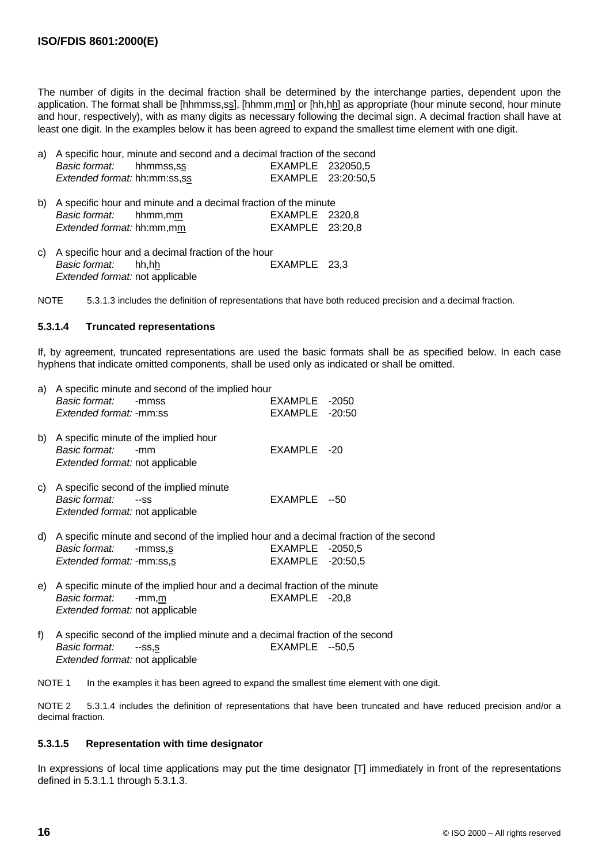The number of digits in the decimal fraction shall be determined by the interchange parties, dependent upon the application. The format shall be [hhmmss,ss], [hhmm,mm] or [hh,hh] as appropriate (hour minute second, hour minute and hour, respectively), with as many digits as necessary following the decimal sign. A decimal fraction shall have at least one digit. In the examples below it has been agreed to expand the smallest time element with one digit.

| a) A specific hour, minute and second and a decimal fraction of the second |  |  |  |                    |
|----------------------------------------------------------------------------|--|--|--|--------------------|
| <i>Basic format:</i> hhmmss.ss                                             |  |  |  | EXAMPLE 232050.5   |
| <i>Extended format:</i> hh:mm:ss,ss                                        |  |  |  | EXAMPLE 23:20:50,5 |

- b) A specific hour and minute and a decimal fraction of the minute Basic format: hhmm,mm EXAMPLE 2320,8 Extended format: hh:mm,mm EXAMPLE 23:20,8
- c) A specific hour and a decimal fraction of the hour Basic format: hh,hh EXAMPLE 23,3 Extended format: not applicable

NOTE 5.3.1.3 includes the definition of representations that have both reduced precision and a decimal fraction.

#### **5.3.1.4 Truncated representations**

If, by agreement, truncated representations are used the basic formats shall be as specified below. In each case hyphens that indicate omitted components, shall be used only as indicated or shall be omitted.

|    | Basic format:<br><i>Extended format: -mm:ss</i>         | a) A specific minute and second of the implied hour<br>-mmss                                     | EXAMPLE -2050<br>EXAMPLE -20:50     |  |
|----|---------------------------------------------------------|--------------------------------------------------------------------------------------------------|-------------------------------------|--|
| b) | Basic format:<br><i>Extended format:</i> not applicable | A specific minute of the implied hour<br>-mm                                                     | EXAMPLE -20                         |  |
| C) | Basic format:<br><i>Extended format:</i> not applicable | A specific second of the implied minute<br>$-SS$                                                 | EXAMPLE --50                        |  |
| d) | Basic format:<br><i>Extended format: -mm:ss,s</i>       | A specific minute and second of the implied hour and a decimal fraction of the second<br>-mmss.s | EXAMPLE -2050,5<br>EXAMPLE -20:50,5 |  |
| e) | Basic format:<br><i>Extended format:</i> not applicable | A specific minute of the implied hour and a decimal fraction of the minute<br>-mm,m              | EXAMPLE -20,8                       |  |
| f  |                                                         | A specific second of the implied minute and a decimal fraction of the second                     |                                     |  |

f) A specific second of the implied minute and a decimal fraction of the second Basic format: --ss,s EXAMPLE --50,5 Extended format: not applicable

NOTE 1 In the examples it has been agreed to expand the smallest time element with one digit.

NOTE 2 5.3.1.4 includes the definition of representations that have been truncated and have reduced precision and/or a decimal fraction.

#### **5.3.1.5 Representation with time designator**

In expressions of local time applications may put the time designator [T] immediately in front of the representations defined in 5.3.1.1 through 5.3.1.3.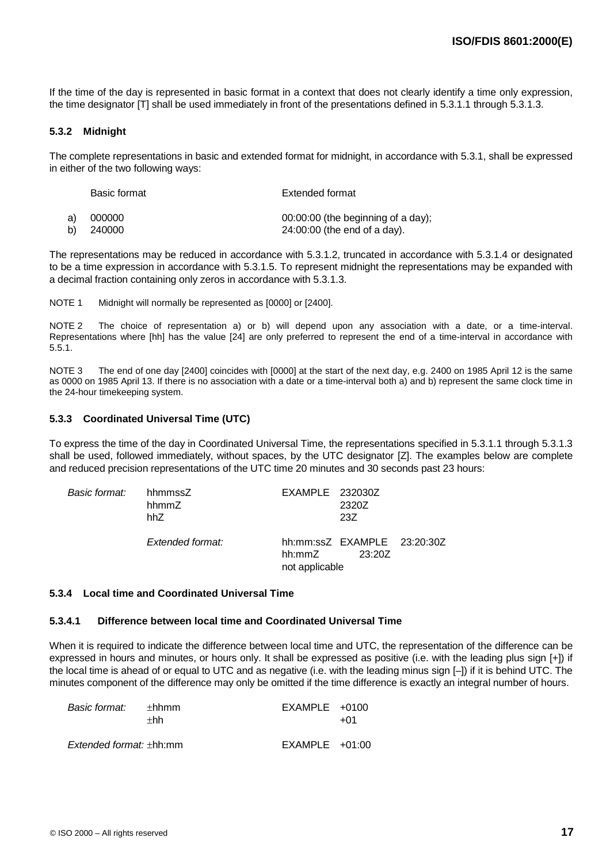If the time of the day is represented in basic format in a context that does not clearly identify a time only expression, the time designator [T] shall be used immediately in front of the presentations defined in 5.3.1.1 through 5.3.1.3.

#### **5.3.2 Midnight**

The complete representations in basic and extended format for midnight, in accordance with 5.3.1, shall be expressed in either of the two following ways:

| Basic format | Extended format                    |  |  |
|--------------|------------------------------------|--|--|
| a) 000000    | 00:00:00 (the beginning of a day); |  |  |
| b) 240000    | $24:00:00$ (the end of a day).     |  |  |

The representations may be reduced in accordance with 5.3.1.2, truncated in accordance with 5.3.1.4 or designated to be a time expression in accordance with 5.3.1.5. To represent midnight the representations may be expanded with a decimal fraction containing only zeros in accordance with 5.3.1.3.

NOTE 1 Midnight will normally be represented as [0000] or [2400].

NOTE 2 The choice of representation a) or b) will depend upon any association with a date, or a time-interval. Representations where [hh] has the value [24] are only preferred to represent the end of a time-interval in accordance with 5.5.1.

NOTE 3 The end of one day [2400] coincides with [0000] at the start of the next day, e.g. 2400 on 1985 April 12 is the same as 0000 on 1985 April 13. If there is no association with a date or a time-interval both a) and b) represent the same clock time in the 24-hour timekeeping system.

#### **5.3.3 Coordinated Universal Time (UTC)**

To express the time of the day in Coordinated Universal Time, the representations specified in 5.3.1.1 through 5.3.1.3 shall be used, followed immediately, without spaces, by the UTC designator [Z]. The examples below are complete and reduced precision representations of the UTC time 20 minutes and 30 seconds past 23 hours:

| Basic format: | hhmmssZ<br>hhmmZ<br>hhZ. | EXAMPLE 232030Z          | 2320Z<br>23Z                          |  |
|---------------|--------------------------|--------------------------|---------------------------------------|--|
|               | Extended format:         | hh:mmZ<br>not applicable | hh:mm:ssZ EXAMPLE 23:20:30Z<br>23.207 |  |

#### **5.3.4 Local time and Coordinated Universal Time**

#### **5.3.4.1 Difference between local time and Coordinated Universal Time**

When it is required to indicate the difference between local time and UTC, the representation of the difference can be expressed in hours and minutes, or hours only. It shall be expressed as positive (i.e. with the leading plus sign [+]) if the local time is ahead of or equal to UTC and as negative (i.e. with the leading minus sign [–]) if it is behind UTC. The minutes component of the difference may only be omitted if the time difference is exactly an integral number of hours.

| Basic format:                       | +hhmm<br>$+hh$ | $EXAMPLE +0100$  | +01 |
|-------------------------------------|----------------|------------------|-----|
| <i>Extended format:</i> $\pm$ hh:mm |                | $EXAMPLE +01:00$ |     |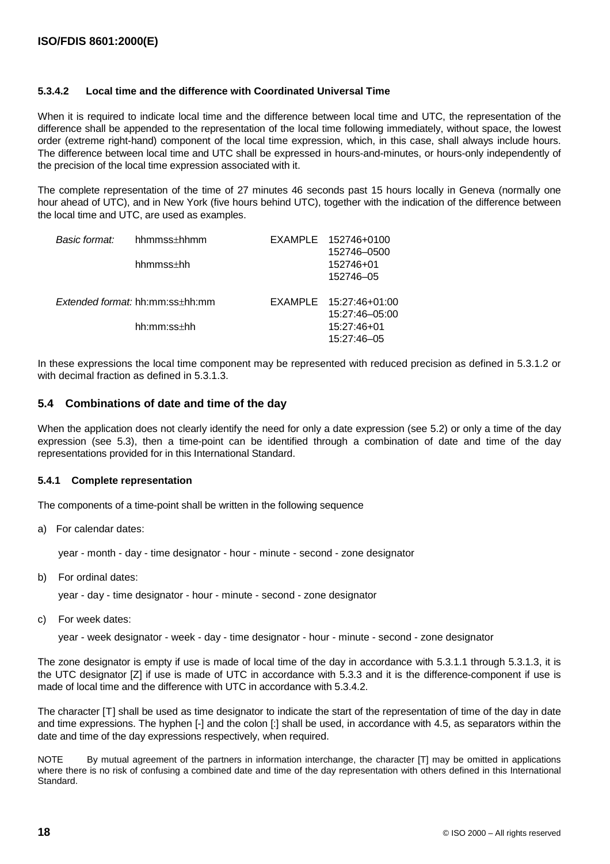#### **5.3.4.2 Local time and the difference with Coordinated Universal Time**

When it is required to indicate local time and the difference between local time and UTC, the representation of the difference shall be appended to the representation of the local time following immediately, without space, the lowest order (extreme right-hand) component of the local time expression, which, in this case, shall always include hours. The difference between local time and UTC shall be expressed in hours-and-minutes, or hours-only independently of the precision of the local time expression associated with it.

The complete representation of the time of 27 minutes 46 seconds past 15 hours locally in Geneva (normally one hour ahead of UTC), and in New York (five hours behind UTC), together with the indication of the difference between the local time and UTC, are used as examples.

| Basic format: | hhmmss±hhmm                            | EXAMPLE 152746+0100    |
|---------------|----------------------------------------|------------------------|
|               |                                        | 152746-0500            |
|               | $h$ hmmss $\pm$ hh                     | 152746+01              |
|               |                                        | 152746-05              |
|               | <i>Extended format:</i> hh:mm:ss+hh:mm | EXAMPLE 15:27:46+01:00 |
|               |                                        | 15:27:46-05:00         |
|               | $hh:mm:ss\pm hh$                       | 15:27:46+01            |
|               |                                        | 15:27:46-05            |

In these expressions the local time component may be represented with reduced precision as defined in 5.3.1.2 or with decimal fraction as defined in 5.3.1.3.

#### **5.4 Combinations of date and time of the day**

When the application does not clearly identify the need for only a date expression (see 5.2) or only a time of the day expression (see 5.3), then a time-point can be identified through a combination of date and time of the day representations provided for in this International Standard.

#### **5.4.1 Complete representation**

The components of a time-point shall be written in the following sequence

a) For calendar dates:

year - month - day - time designator - hour - minute - second - zone designator

b) For ordinal dates:

year - day - time designator - hour - minute - second - zone designator

c) For week dates:

year - week designator - week - day - time designator - hour - minute - second - zone designator

The zone designator is empty if use is made of local time of the day in accordance with 5.3.1.1 through 5.3.1.3, it is the UTC designator [Z] if use is made of UTC in accordance with 5.3.3 and it is the difference-component if use is made of local time and the difference with UTC in accordance with 5.3.4.2.

The character [T] shall be used as time designator to indicate the start of the representation of time of the day in date and time expressions. The hyphen [-] and the colon [:] shall be used, in accordance with 4.5, as separators within the date and time of the day expressions respectively, when required.

NOTE By mutual agreement of the partners in information interchange, the character [T] may be omitted in applications where there is no risk of confusing a combined date and time of the day representation with others defined in this International Standard.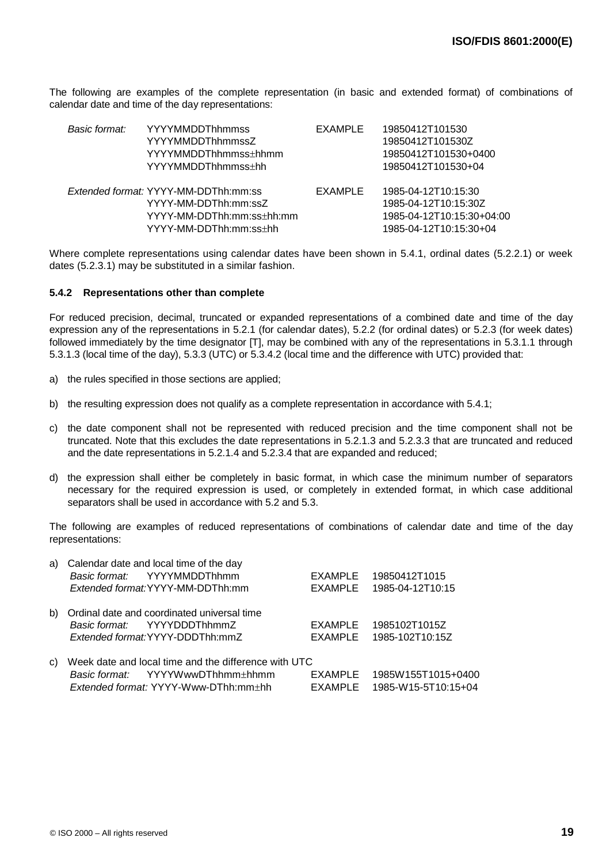The following are examples of the complete representation (in basic and extended format) of combinations of calendar date and time of the day representations:

| Basic format: | <b>YYYYMMDDThhmmss</b><br><b>YYYYMMDDThhmmssZ</b><br>YYYYMMDDThhmmss±hhmm<br>YYYYMMDDThhmmss±hh | EXAMPLE | 19850412T101530<br>19850412T101530Z<br>19850412T101530+0400<br>19850412T101530+04 |
|---------------|-------------------------------------------------------------------------------------------------|---------|-----------------------------------------------------------------------------------|
|               | Extended format: YYYY-MM-DDThh:mm:ss<br>YYYY-MM-DDThh:mm:ssZ<br>YYYY-MM-DDThh:mm:ss±hh:mm       | EXAMPLE | 1985-04-12T10:15:30<br>1985-04-12T10:15:30Z<br>1985-04-12T10:15:30+04:00          |
|               | YYYY-MM-DDThh:mm:ss+hh                                                                          |         | 1985-04-12T10:15:30+04                                                            |

Where complete representations using calendar dates have been shown in 5.4.1, ordinal dates (5.2.2.1) or week dates (5.2.3.1) may be substituted in a similar fashion.

#### **5.4.2 Representations other than complete**

For reduced precision, decimal, truncated or expanded representations of a combined date and time of the day expression any of the representations in 5.2.1 (for calendar dates), 5.2.2 (for ordinal dates) or 5.2.3 (for week dates) followed immediately by the time designator [T], may be combined with any of the representations in 5.3.1.1 through 5.3.1.3 (local time of the day), 5.3.3 (UTC) or 5.3.4.2 (local time and the difference with UTC) provided that:

- a) the rules specified in those sections are applied;
- b) the resulting expression does not qualify as a complete representation in accordance with 5.4.1;
- c) the date component shall not be represented with reduced precision and the time component shall not be truncated. Note that this excludes the date representations in 5.2.1.3 and 5.2.3.3 that are truncated and reduced and the date representations in 5.2.1.4 and 5.2.3.4 that are expanded and reduced;
- d) the expression shall either be completely in basic format, in which case the minimum number of separators necessary for the required expression is used, or completely in extended format, in which case additional separators shall be used in accordance with 5.2 and 5.3.

The following are examples of reduced representations of combinations of calendar date and time of the day representations:

| a) | Calendar date and local time of the day              |                |                     |
|----|------------------------------------------------------|----------------|---------------------|
|    | Basic format: YYYYMMDDThhmm                          | <b>EXAMPLE</b> | 19850412T1015       |
|    | Extended format:YYYY-MM-DDThh:mm                     | EXAMPLE        | 1985-04-12T10:15    |
| b) | Ordinal date and coordinated universal time          |                |                     |
|    | Basic format: YYYYDDDThhmmZ                          | EXAMPLE        | 1985102T1015Z       |
|    | Extended format: YYYY-DDDThh:mmZ                     | EXAMPLE        | 1985-102T10:15Z     |
| C) | Week date and local time and the difference with UTC |                |                     |
|    | Basic format: YYYYWwwDThhmm+hhmm                     | <b>EXAMPLE</b> | 1985W155T1015+0400  |
|    | <i>Extended format:</i> YYYY-Www-DThh:mm+hh          | EXAMPLE        | 1985-W15-5T10:15+04 |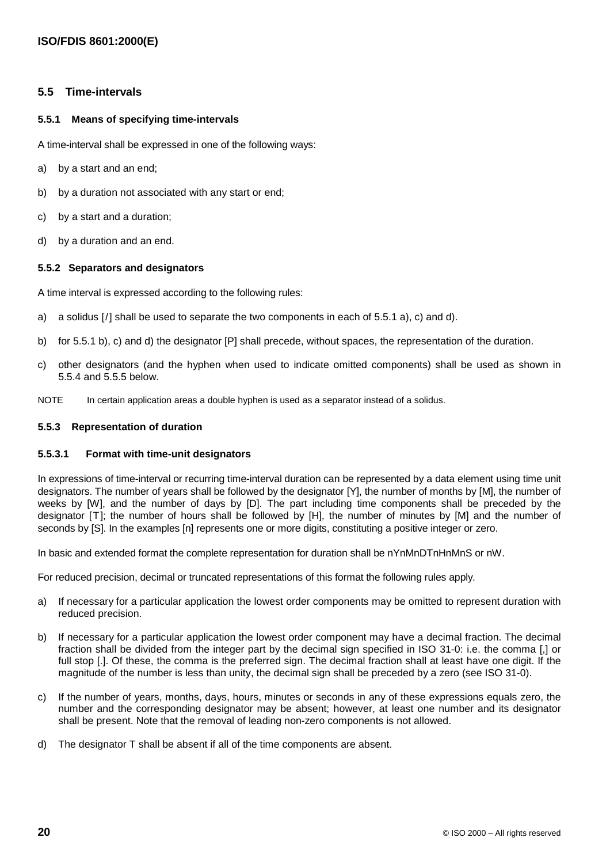### **5.5 Time-intervals**

#### **5.5.1 Means of specifying time-intervals**

A time-interval shall be expressed in one of the following ways:

- a) by a start and an end;
- b) by a duration not associated with any start or end;
- c) by a start and a duration;
- d) by a duration and an end.

#### **5.5.2 Separators and designators**

A time interval is expressed according to the following rules:

- a) a solidus [/] shall be used to separate the two components in each of 5.5.1 a), c) and d).
- b) for 5.5.1 b), c) and d) the designator [P] shall precede, without spaces, the representation of the duration.
- c) other designators (and the hyphen when used to indicate omitted components) shall be used as shown in 5.5.4 and 5.5.5 below.
- NOTE In certain application areas a double hyphen is used as a separator instead of a solidus.

#### **5.5.3 Representation of duration**

#### **5.5.3.1 Format with time-unit designators**

In expressions of time-interval or recurring time-interval duration can be represented by a data element using time unit designators. The number of years shall be followed by the designator [Y], the number of months by [M], the number of weeks by [W], and the number of days by [D]. The part including time components shall be preceded by the designator [T]; the number of hours shall be followed by [H], the number of minutes by [M] and the number of seconds by [S]. In the examples [n] represents one or more digits, constituting a positive integer or zero.

In basic and extended format the complete representation for duration shall be nYnMnDTnHnMnS or nW.

For reduced precision, decimal or truncated representations of this format the following rules apply.

- a) If necessary for a particular application the lowest order components may be omitted to represent duration with reduced precision.
- b) If necessary for a particular application the lowest order component may have a decimal fraction. The decimal fraction shall be divided from the integer part by the decimal sign specified in ISO 31-0: i.e. the comma [,] or full stop [.]. Of these, the comma is the preferred sign. The decimal fraction shall at least have one digit. If the magnitude of the number is less than unity, the decimal sign shall be preceded by a zero (see ISO 31-0).
- c) If the number of years, months, days, hours, minutes or seconds in any of these expressions equals zero, the number and the corresponding designator may be absent; however, at least one number and its designator shall be present. Note that the removal of leading non-zero components is not allowed.
- d) The designator T shall be absent if all of the time components are absent.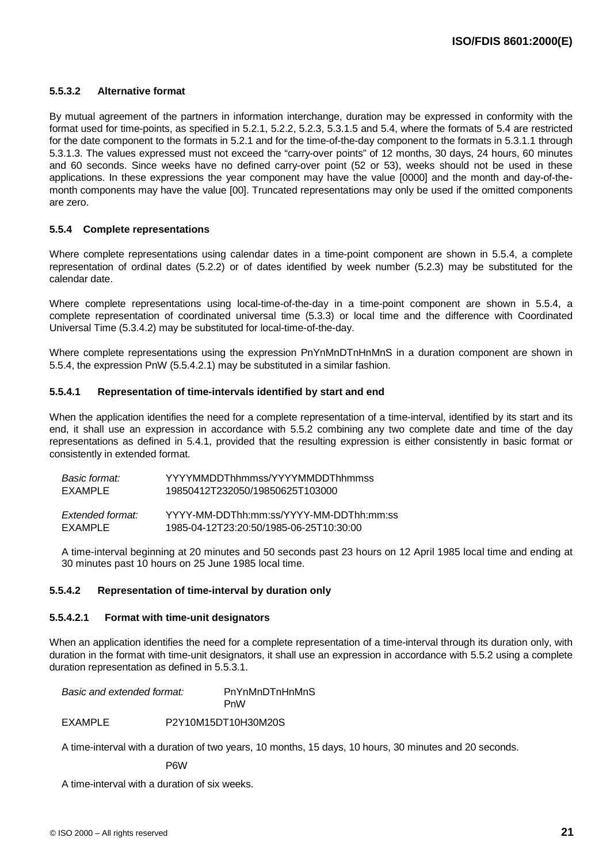#### **5.5.3.2 Alternative format**

By mutual agreement of the partners in information interchange, duration may be expressed in conformity with the format used for time-points, as specified in 5.2.1, 5.2.2, 5.2.3, 5.3.1.5 and 5.4, where the formats of 5.4 are restricted for the date component to the formats in 5.2.1 and for the time-of-the-day component to the formats in 5.3.1.1 through 5.3.1.3. The values expressed must not exceed the "carry-over points" of 12 months, 30 days, 24 hours, 60 minutes and 60 seconds. Since weeks have no defined carry-over point (52 or 53), weeks should not be used in these applications. In these expressions the year component may have the value [0000] and the month and day-of-themonth components may have the value [00]. Truncated representations may only be used if the omitted components are zero.

#### **5.5.4 Complete representations**

Where complete representations using calendar dates in a time-point component are shown in 5.5.4, a complete representation of ordinal dates (5.2.2) or of dates identified by week number (5.2.3) may be substituted for the calendar date.

Where complete representations using local-time-of-the-day in a time-point component are shown in 5.5.4, a complete representation of coordinated universal time (5.3.3) or local time and the difference with Coordinated Universal Time (5.3.4.2) may be substituted for local-time-of-the-day.

Where complete representations using the expression PnYnMnDTnHnMnS in a duration component are shown in 5.5.4, the expression PnW (5.5.4.2.1) may be substituted in a similar fashion.

#### **5.5.4.1 Representation of time-intervals identified by start and end**

When the application identifies the need for a complete representation of a time-interval, identified by its start and its end, it shall use an expression in accordance with 5.5.2 combining any two complete date and time of the day representations as defined in 5.4.1, provided that the resulting expression is either consistently in basic format or consistently in extended format.

| Basic format:    | YYYYMMDDThhmmss/YYYYMMDDThhmmss         |
|------------------|-----------------------------------------|
| EXAMPLE          | 19850412T232050/19850625T103000         |
|                  |                                         |
| Extended format: | YYYY-MM-DDThh:mm:ss/YYYY-MM-DDThh:mm:ss |
| FXAMPI F         | 1985-04-12T23:20:50/1985-06-25T10:30:00 |

A time-interval beginning at 20 minutes and 50 seconds past 23 hours on 12 April 1985 local time and ending at 30 minutes past 10 hours on 25 June 1985 local time.

#### **5.5.4.2 Representation of time-interval by duration only**

#### **5.5.4.2.1 Format with time-unit designators**

When an application identifies the need for a complete representation of a time-interval through its duration only, with duration in the format with time-unit designators, it shall use an expression in accordance with 5.5.2 using a complete duration representation as defined in 5.5.3.1.

Basic and extended format: PnYnMnDTnHnMnS PnW

EXAMPLE P2Y10M15DT10H30M20S

A time-interval with a duration of two years, 10 months, 15 days, 10 hours, 30 minutes and 20 seconds.

P6W

A time-interval with a duration of six weeks.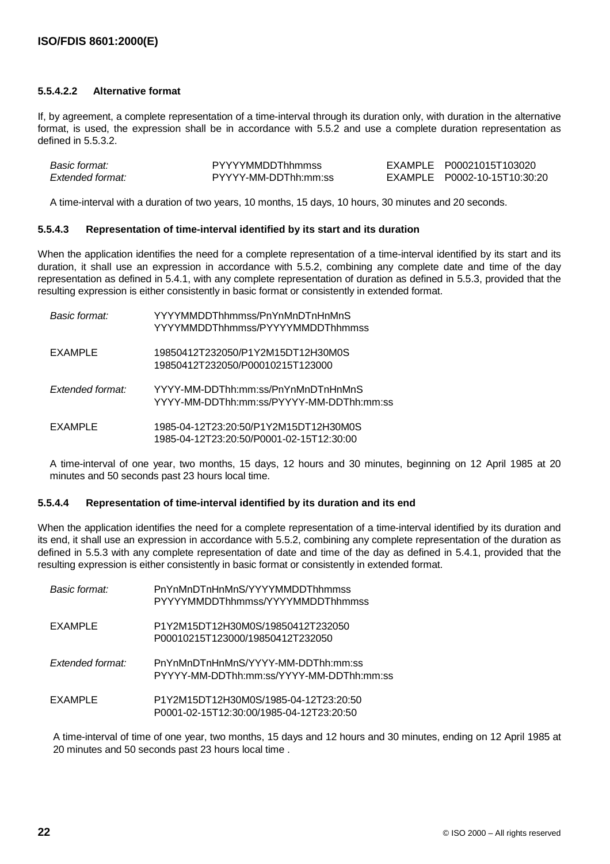#### **5.5.4.2.2 Alternative format**

If, by agreement, a complete representation of a time-interval through its duration only, with duration in the alternative format, is used, the expression shall be in accordance with 5.5.2 and use a complete duration representation as defined in 5.5.3.2.

| Basic format:    | <b>PYYYYMMDDThhmmss</b> | EXAMPLE P00021015T103020     |
|------------------|-------------------------|------------------------------|
| Extended format: | PYYYY-MM-DDThh:mm:ss    | EXAMPLE P0002-10-15T10:30:20 |

A time-interval with a duration of two years, 10 months, 15 days, 10 hours, 30 minutes and 20 seconds.

#### **5.5.4.3 Representation of time-interval identified by its start and its duration**

When the application identifies the need for a complete representation of a time-interval identified by its start and its duration, it shall use an expression in accordance with 5.5.2, combining any complete date and time of the day representation as defined in 5.4.1, with any complete representation of duration as defined in 5.5.3, provided that the resulting expression is either consistently in basic format or consistently in extended format.

| Basic format:    | YYYYMMDDThhmmss/PnYnMnDTnHnMnS<br>YYYYMMDDThhmmss/PYYYYMMDDThhmmss                |
|------------------|-----------------------------------------------------------------------------------|
| EXAMPLE          | 19850412T232050/P1Y2M15DT12H30M0S<br>19850412T232050/P00010215T123000             |
| Extended format: | YYYY-MM-DDThh:mm:ss/PnYnMnDTnHnMnS<br>YYYY-MM-DDThh:mm:ss/PYYYY-MM-DDThh:mm:ss    |
| EXAMPLE          | 1985-04-12T23:20:50/P1Y2M15DT12H30M0S<br>1985-04-12T23:20:50/P0001-02-15T12:30:00 |

A time-interval of one year, two months, 15 days, 12 hours and 30 minutes, beginning on 12 April 1985 at 20 minutes and 50 seconds past 23 hours local time.

#### **5.5.4.4 Representation of time-interval identified by its duration and its end**

When the application identifies the need for a complete representation of a time-interval identified by its duration and its end, it shall use an expression in accordance with 5.5.2, combining any complete representation of the duration as defined in 5.5.3 with any complete representation of date and time of the day as defined in 5.4.1, provided that the resulting expression is either consistently in basic format or consistently in extended format.

| Basic format:    | PnYnMnDTnHnMnS/YYYYMMDDThhmmss<br>PYYYYMMDDThhmmss/YYYYMMDDThhmmss                |
|------------------|-----------------------------------------------------------------------------------|
| EXAMPLE          | P1Y2M15DT12H30M0S/19850412T232050<br>P00010215T123000/19850412T232050             |
| Extended format: | PnYnMnDTnHnMnS/YYYY-MM-DDThh:mm:ss<br>PYYYY-MM-DDThh:mm:ss/YYYY-MM-DDThh:mm:ss    |
| EXAMPLE          | P1Y2M15DT12H30M0S/1985-04-12T23:20:50<br>P0001-02-15T12:30:00/1985-04-12T23:20:50 |

A time-interval of time of one year, two months, 15 days and 12 hours and 30 minutes, ending on 12 April 1985 at 20 minutes and 50 seconds past 23 hours local time .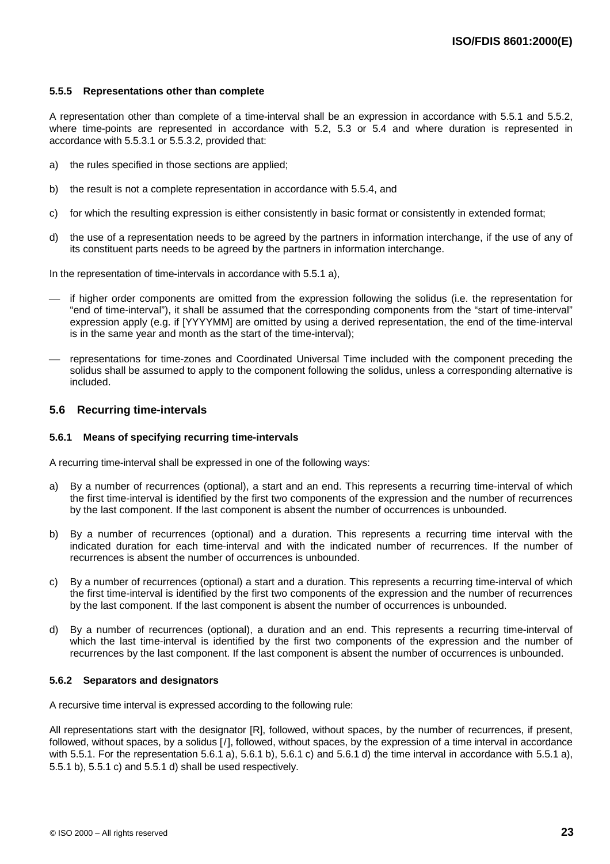#### **5.5.5 Representations other than complete**

A representation other than complete of a time-interval shall be an expression in accordance with 5.5.1 and 5.5.2, where time-points are represented in accordance with 5.2, 5.3 or 5.4 and where duration is represented in accordance with 5.5.3.1 or 5.5.3.2, provided that:

- a) the rules specified in those sections are applied;
- b) the result is not a complete representation in accordance with 5.5.4, and
- c) for which the resulting expression is either consistently in basic format or consistently in extended format;
- d) the use of a representation needs to be agreed by the partners in information interchange, if the use of any of its constituent parts needs to be agreed by the partners in information interchange.

In the representation of time-intervals in accordance with 5.5.1 a),

- if higher order components are omitted from the expression following the solidus (i.e. the representation for "end of time-interval"), it shall be assumed that the corresponding components from the "start of time-interval" expression apply (e.g. if [YYYYMM] are omitted by using a derived representation, the end of the time-interval is in the same year and month as the start of the time-interval);
- representations for time-zones and Coordinated Universal Time included with the component preceding the solidus shall be assumed to apply to the component following the solidus, unless a corresponding alternative is included.

#### **5.6 Recurring time-intervals**

#### **5.6.1 Means of specifying recurring time-intervals**

A recurring time-interval shall be expressed in one of the following ways:

- a) By a number of recurrences (optional), a start and an end. This represents a recurring time-interval of which the first time-interval is identified by the first two components of the expression and the number of recurrences by the last component. If the last component is absent the number of occurrences is unbounded.
- b) By a number of recurrences (optional) and a duration. This represents a recurring time interval with the indicated duration for each time-interval and with the indicated number of recurrences. If the number of recurrences is absent the number of occurrences is unbounded.
- c) By a number of recurrences (optional) a start and a duration. This represents a recurring time-interval of which the first time-interval is identified by the first two components of the expression and the number of recurrences by the last component. If the last component is absent the number of occurrences is unbounded.
- d) By a number of recurrences (optional), a duration and an end. This represents a recurring time-interval of which the last time-interval is identified by the first two components of the expression and the number of recurrences by the last component. If the last component is absent the number of occurrences is unbounded.

#### **5.6.2 Separators and designators**

A recursive time interval is expressed according to the following rule:

All representations start with the designator [R], followed, without spaces, by the number of recurrences, if present, followed, without spaces, by a solidus [/], followed, without spaces, by the expression of a time interval in accordance with 5.5.1. For the representation 5.6.1 a), 5.6.1 b), 5.6.1 c) and 5.6.1 d) the time interval in accordance with 5.5.1 a), 5.5.1 b), 5.5.1 c) and 5.5.1 d) shall be used respectively.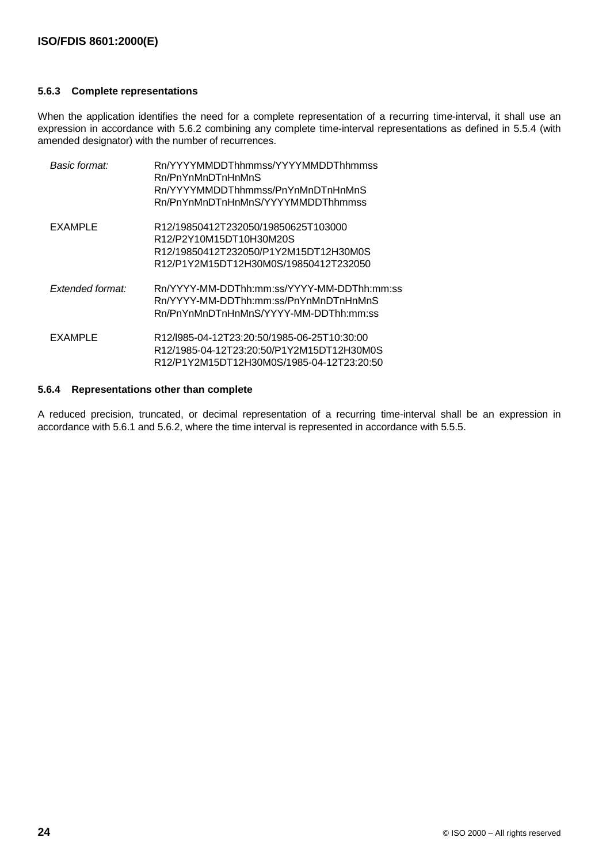#### **5.6.3 Complete representations**

When the application identifies the need for a complete representation of a recurring time-interval, it shall use an expression in accordance with 5.6.2 combining any complete time-interval representations as defined in 5.5.4 (with amended designator) with the number of recurrences.

| Basic format:    | Rn/YYYYMMDDThhmmss/YYYYMMDDThhmmss<br>Rn/PnYnMnDTnHnMnS<br>Rn/YYYYMMDDThhmmss/PnYnMnDTnHnMnS<br>Rn/PnYnMnDTnHnMnS/YYYYMMDDThhmmss                |
|------------------|--------------------------------------------------------------------------------------------------------------------------------------------------|
| EXAMPLE          | R12/19850412T232050/19850625T103000<br>R12/P2Y10M15DT10H30M20S<br>R12/19850412T232050/P1Y2M15DT12H30M0S<br>R12/P1Y2M15DT12H30M0S/19850412T232050 |
| Extended format: | Rn/YYYY-MM-DDThh:mm:ss/YYYY-MM-DDThh:mm:ss<br>Rn/YYYY-MM-DDThh:mm:ss/PnYnMnDTnHnMnS<br>Rn/PnYnMnDTnHnMnS/YYYY-MM-DDThh:mm:ss                     |
| EXAMPLE          | R12/l985-04-12T23:20:50/1985-06-25T10:30:00<br>R12/1985-04-12T23:20:50/P1Y2M15DT12H30M0S<br>R12/P1Y2M15DT12H30M0S/1985-04-12T23:20:50            |

#### **5.6.4 Representations other than complete**

A reduced precision, truncated, or decimal representation of a recurring time-interval shall be an expression in accordance with 5.6.1 and 5.6.2, where the time interval is represented in accordance with 5.5.5.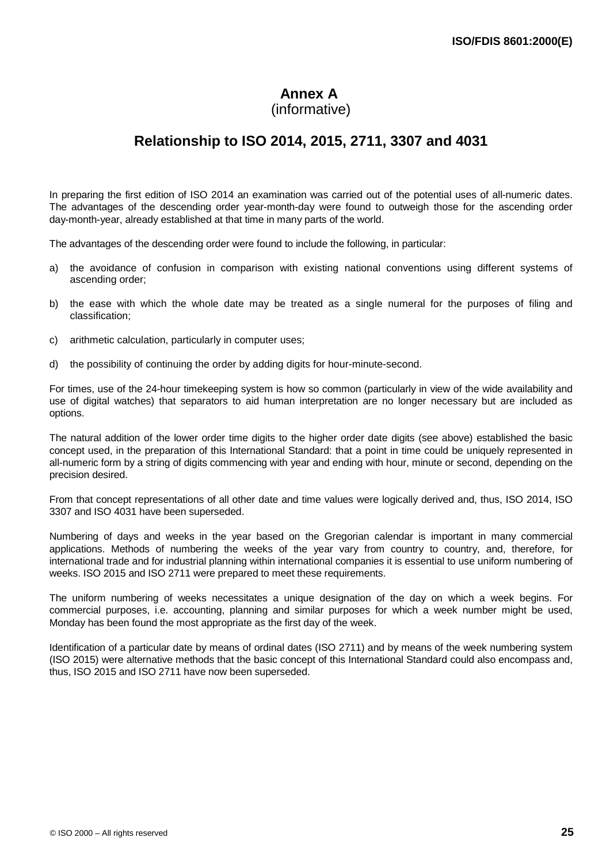# **Annex A**

(informative)

# **Relationship to ISO 2014, 2015, 2711, 3307 and 4031**

In preparing the first edition of ISO 2014 an examination was carried out of the potential uses of all-numeric dates. The advantages of the descending order year-month-day were found to outweigh those for the ascending order day-month-year, already established at that time in many parts of the world.

The advantages of the descending order were found to include the following, in particular:

- a) the avoidance of confusion in comparison with existing national conventions using different systems of ascending order;
- b) the ease with which the whole date may be treated as a single numeral for the purposes of filing and classification;
- c) arithmetic calculation, particularly in computer uses;
- d) the possibility of continuing the order by adding digits for hour-minute-second.

For times, use of the 24-hour timekeeping system is how so common (particularly in view of the wide availability and use of digital watches) that separators to aid human interpretation are no longer necessary but are included as options.

The natural addition of the lower order time digits to the higher order date digits (see above) established the basic concept used, in the preparation of this International Standard: that a point in time could be uniquely represented in all-numeric form by a string of digits commencing with year and ending with hour, minute or second, depending on the precision desired.

From that concept representations of all other date and time values were logically derived and, thus, ISO 2014, ISO 3307 and ISO 4031 have been superseded.

Numbering of days and weeks in the year based on the Gregorian calendar is important in many commercial applications. Methods of numbering the weeks of the year vary from country to country, and, therefore, for international trade and for industrial planning within international companies it is essential to use uniform numbering of weeks. ISO 2015 and ISO 2711 were prepared to meet these requirements.

The uniform numbering of weeks necessitates a unique designation of the day on which a week begins. For commercial purposes, i.e. accounting, planning and similar purposes for which a week number might be used, Monday has been found the most appropriate as the first day of the week.

Identification of a particular date by means of ordinal dates (ISO 2711) and by means of the week numbering system (ISO 2015) were alternative methods that the basic concept of this International Standard could also encompass and, thus, ISO 2015 and ISO 2711 have now been superseded.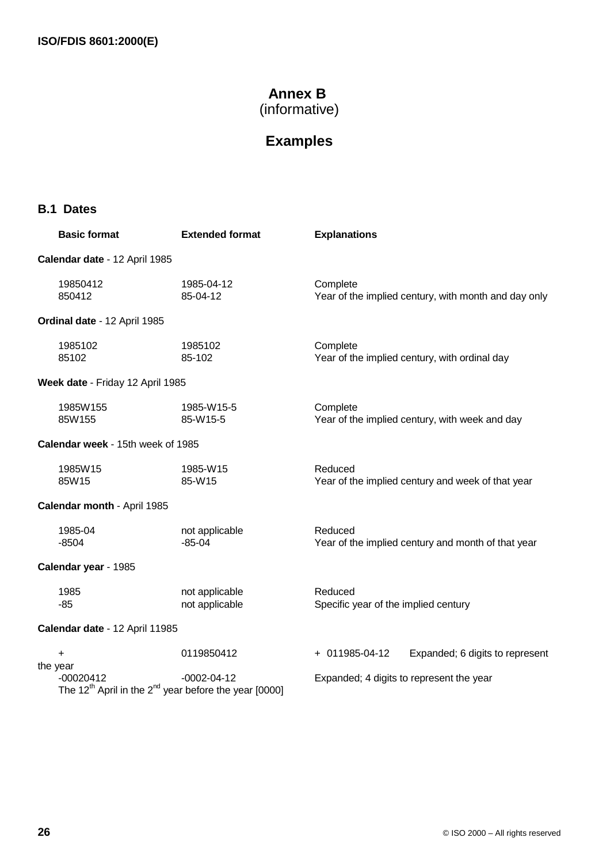# **Annex B**

(informative)

# **Examples**

# **B.1 Dates**

| <b>Basic format</b>               | <b>Extended format</b>                                                                             | <b>Explanations</b>                                              |
|-----------------------------------|----------------------------------------------------------------------------------------------------|------------------------------------------------------------------|
| Calendar date - 12 April 1985     |                                                                                                    |                                                                  |
| 19850412<br>850412                | 1985-04-12<br>85-04-12                                                                             | Complete<br>Year of the implied century, with month and day only |
| Ordinal date - 12 April 1985      |                                                                                                    |                                                                  |
| 1985102<br>85102                  | 1985102<br>85-102                                                                                  | Complete<br>Year of the implied century, with ordinal day        |
| Week date - Friday 12 April 1985  |                                                                                                    |                                                                  |
| 1985W155<br>85W155                | 1985-W15-5<br>85-W15-5                                                                             | Complete<br>Year of the implied century, with week and day       |
| Calendar week - 15th week of 1985 |                                                                                                    |                                                                  |
| 1985W15<br>85W15                  | 1985-W15<br>85-W15                                                                                 | Reduced<br>Year of the implied century and week of that year     |
| Calendar month - April 1985       |                                                                                                    |                                                                  |
| 1985-04<br>$-8504$                | not applicable<br>$-85-04$                                                                         | Reduced<br>Year of the implied century and month of that year    |
| Calendar year - 1985              |                                                                                                    |                                                                  |
| 1985<br>$-85$                     | not applicable<br>not applicable                                                                   | Reduced<br>Specific year of the implied century                  |
| Calendar date - 12 April 11985    |                                                                                                    |                                                                  |
| $\ddot{}$<br>the year             | 0119850412                                                                                         | + 011985-04-12<br>Expanded; 6 digits to represent                |
| $-00020412$                       | $-0002 - 04 - 12$<br>The 12 <sup>th</sup> April in the 2 <sup>nd</sup> year before the year [0000] | Expanded; 4 digits to represent the year                         |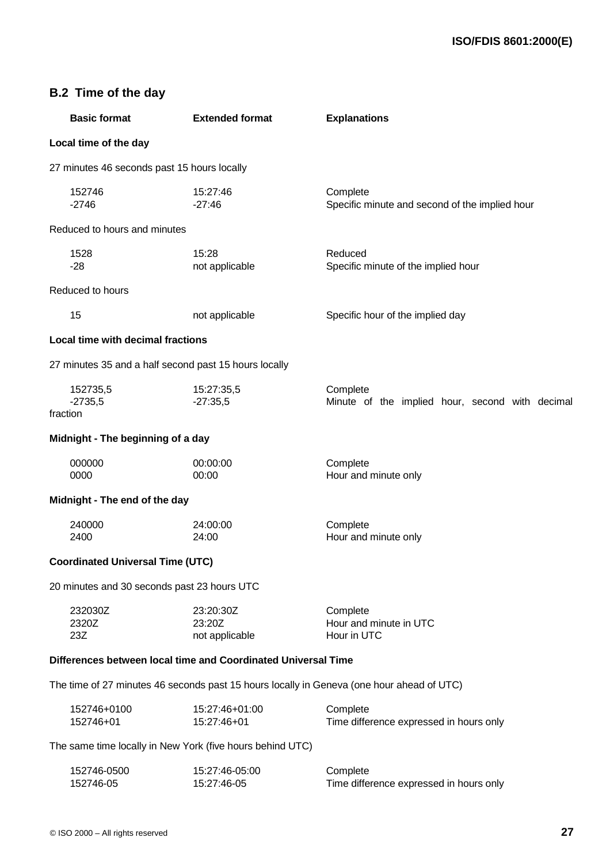| <b>Basic format</b>                                           | <b>Extended format</b>                | <b>Explanations</b>                                                                       |
|---------------------------------------------------------------|---------------------------------------|-------------------------------------------------------------------------------------------|
| Local time of the day                                         |                                       |                                                                                           |
| 27 minutes 46 seconds past 15 hours locally                   |                                       |                                                                                           |
| 152746<br>$-2746$                                             | 15:27:46<br>$-27:46$                  | Complete<br>Specific minute and second of the implied hour                                |
| Reduced to hours and minutes                                  |                                       |                                                                                           |
| 1528<br>$-28$                                                 | 15:28<br>not applicable               | Reduced<br>Specific minute of the implied hour                                            |
| Reduced to hours                                              |                                       |                                                                                           |
| 15                                                            | not applicable                        | Specific hour of the implied day                                                          |
| Local time with decimal fractions                             |                                       |                                                                                           |
| 27 minutes 35 and a half second past 15 hours locally         |                                       |                                                                                           |
| 152735,5<br>$-2735,5$<br>fraction                             | 15:27:35,5<br>$-27:35,5$              | Complete<br>Minute of the implied hour, second with decimal                               |
| Midnight - The beginning of a day                             |                                       |                                                                                           |
| 000000<br>0000                                                | 00:00:00<br>00:00                     | Complete<br>Hour and minute only                                                          |
| Midnight - The end of the day                                 |                                       |                                                                                           |
| 240000<br>2400                                                | 24:00:00<br>24:00                     | Complete<br>Hour and minute only                                                          |
| <b>Coordinated Universal Time (UTC)</b>                       |                                       |                                                                                           |
| 20 minutes and 30 seconds past 23 hours UTC                   |                                       |                                                                                           |
| 232030Z<br>2320Z<br>23Z                                       | 23:20:30Z<br>23:20Z<br>not applicable | Complete<br>Hour and minute in UTC<br>Hour in UTC                                         |
| Differences between local time and Coordinated Universal Time |                                       |                                                                                           |
|                                                               |                                       | The time of 27 minutes 46 seconds past 15 hours locally in Geneva (one hour ahead of UTC) |
| 152746+0100<br>152746+01                                      | 15:27:46+01:00<br>15:27:46+01         | Complete<br>Time difference expressed in hours only                                       |

The same time locally in New York (five hours behind UTC)

| 152746-0500 | 15:27:46-05:00 | Complete                                |
|-------------|----------------|-----------------------------------------|
| 152746-05   | 15:27:46-05    | Time difference expressed in hours only |

**B.2 Time of the day**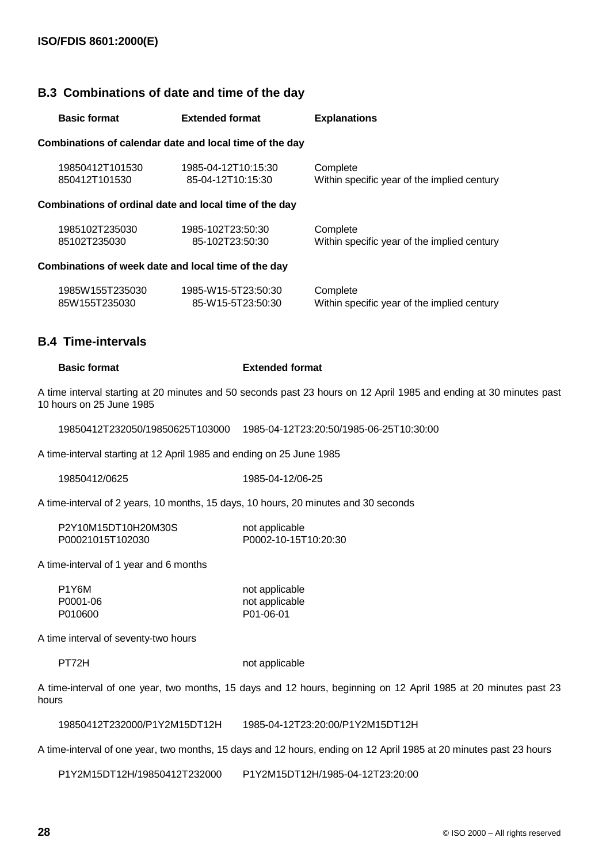# **B.3 Combinations of date and time of the day**

| <b>Basic format</b>              |                 | <b>Extended format</b>                                  | <b>Explanations</b>                                     |
|----------------------------------|-----------------|---------------------------------------------------------|---------------------------------------------------------|
|                                  |                 | Combinations of calendar date and local time of the day |                                                         |
| 19850412T101530<br>850412T101530 |                 | 1985-04-12T10:15:30<br>85-04-12T10:15:30                | Complete<br>Within specific year of the implied century |
|                                  |                 | Combinations of ordinal date and local time of the day  |                                                         |
| 1985102T235030<br>85102T235030   |                 | 1985-102T23:50:30<br>85-102T23:50:30                    | Complete<br>Within specific year of the implied century |
|                                  |                 | Combinations of week date and local time of the day     |                                                         |
| 85W155T235030                    | 1985W155T235030 | 1985-W15-5T23:50:30<br>85-W15-5T23:50:30                | Complete<br>Within specific year of the implied century |

# **B.4 Time-intervals**

#### **Basic format Extended format**

A time interval starting at 20 minutes and 50 seconds past 23 hours on 12 April 1985 and ending at 30 minutes past 10 hours on 25 June 1985

19850412T232050/19850625T103000 1985-04-12T23:20:50/1985-06-25T10:30:00

A time-interval starting at 12 April 1985 and ending on 25 June 1985

| 19850412/0625 |  |
|---------------|--|
|---------------|--|

1985-04-12/06-25

A time-interval of 2 years, 10 months, 15 days, 10 hours, 20 minutes and 30 seconds

| P2Y10M15DT10H20M30S | not applicable       |
|---------------------|----------------------|
| P00021015T102030    | P0002-10-15T10:20:30 |

A time-interval of 1 year and 6 months

| P1Y6M    | not applicable |
|----------|----------------|
| P0001-06 | not applicable |
| P010600  | P01-06-01      |

A time interval of seventy-two hours

PT72H not applicable

A time-interval of one year, two months, 15 days and 12 hours, beginning on 12 April 1985 at 20 minutes past 23 hours

19850412T232000/P1Y2M15DT12H 1985-04-12T23:20:00/P1Y2M15DT12H

A time-interval of one year, two months, 15 days and 12 hours, ending on 12 April 1985 at 20 minutes past 23 hours

P1Y2M15DT12H/19850412T232000 P1Y2M15DT12H/1985-04-12T23:20:00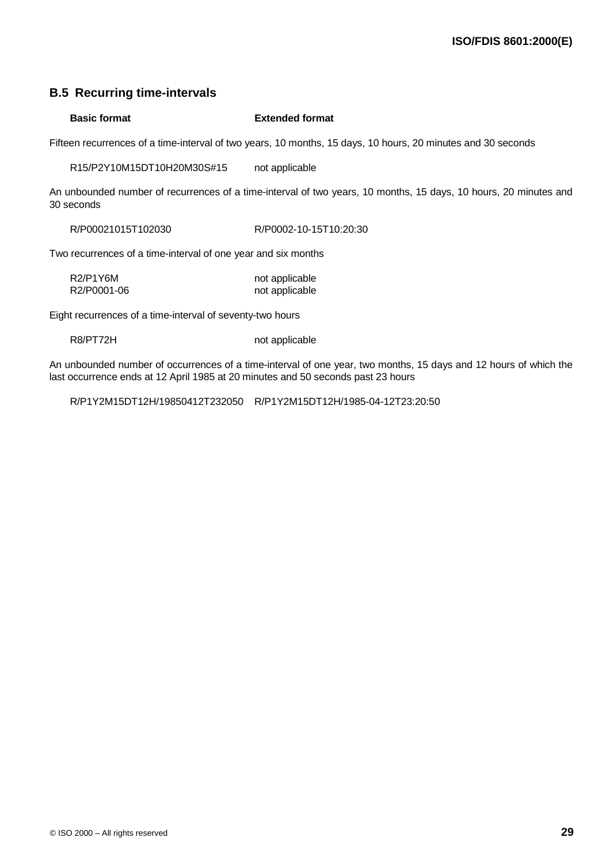# **B.5 Recurring time-intervals**

#### **Basic format Extended format**

Fifteen recurrences of a time-interval of two years, 10 months, 15 days, 10 hours, 20 minutes and 30 seconds

R15/P2Y10M15DT10H20M30S#15 not applicable

An unbounded number of recurrences of a time-interval of two years, 10 months, 15 days, 10 hours, 20 minutes and 30 seconds

R/P00021015T102030 R/P0002-10-15T10:20:30

Two recurrences of a time-interval of one year and six months

| R <sub>2</sub> /P <sub>1</sub> Y <sub>6</sub> M | not applicable |
|-------------------------------------------------|----------------|
| R2/P0001-06                                     | not applicable |

Eight recurrences of a time-interval of seventy-two hours

R8/PT72H not applicable

An unbounded number of occurrences of a time-interval of one year, two months, 15 days and 12 hours of which the last occurrence ends at 12 April 1985 at 20 minutes and 50 seconds past 23 hours

R/P1Y2M15DT12H/19850412T232050 R/P1Y2M15DT12H/1985-04-12T23:20:50